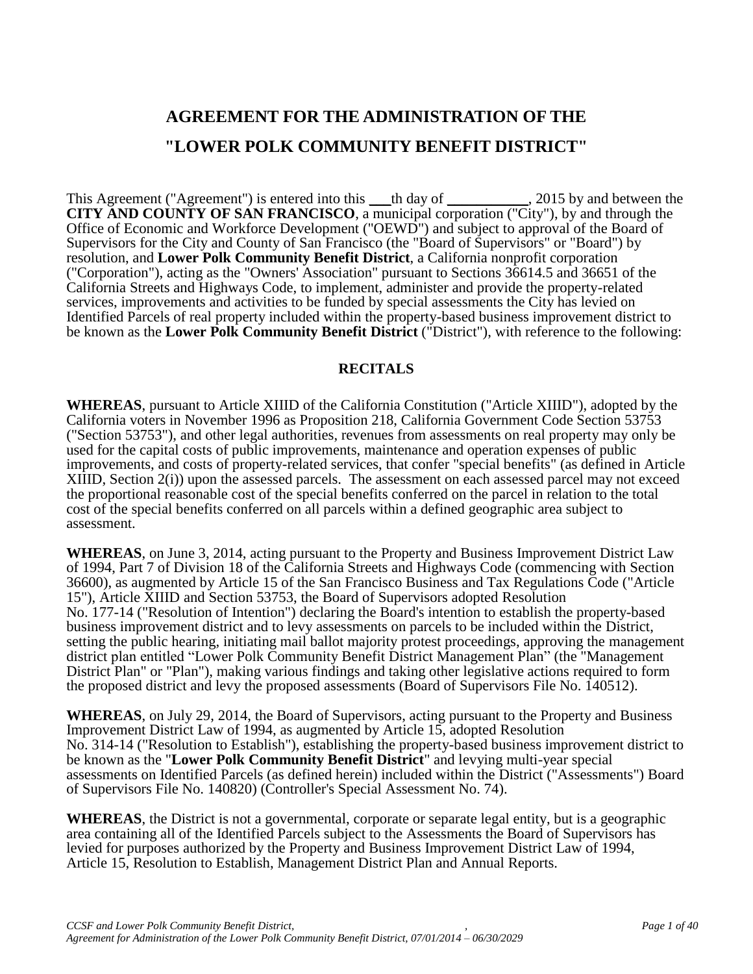# **AGREEMENT FOR THE ADMINISTRATION OF THE "LOWER POLK COMMUNITY BENEFIT DISTRICT"**

This Agreement ("Agreement") is entered into this \_\_\_th day of \_\_\_\_\_\_\_\_\_\_\_, 2015 by and between the **CITY AND COUNTY OF SAN FRANCISCO**, a municipal corporation ("City"), by and through the Office of Economic and Workforce Development ("OEWD") and subject to approval of the Board of Supervisors for the City and County of San Francisco (the "Board of Supervisors" or "Board") by resolution, and **Lower Polk Community Benefit District**, a California nonprofit corporation ("Corporation"), acting as the "Owners' Association" pursuant to Sections 36614.5 and 36651 of the California Streets and Highways Code, to implement, administer and provide the property-related services, improvements and activities to be funded by special assessments the City has levied on Identified Parcels of real property included within the property-based business improvement district to be known as the **Lower Polk Community Benefit District** ("District"), with reference to the following:

#### **RECITALS**

**WHEREAS**, pursuant to Article XIIID of the California Constitution ("Article XIIID"), adopted by the California voters in November 1996 as Proposition 218, California Government Code Section 53753 ("Section 53753"), and other legal authorities, revenues from assessments on real property may only be used for the capital costs of public improvements, maintenance and operation expenses of public improvements, and costs of property-related services, that confer "special benefits" (as defined in Article XIIID, Section 2(i)) upon the assessed parcels. The assessment on each assessed parcel may not exceed the proportional reasonable cost of the special benefits conferred on the parcel in relation to the total cost of the special benefits conferred on all parcels within a defined geographic area subject to assessment.

**WHEREAS**, on June 3, 2014, acting pursuant to the Property and Business Improvement District Law of 1994, Part 7 of Division 18 of the California Streets and Highways Code (commencing with Section 36600), as augmented by Article 15 of the San Francisco Business and Tax Regulations Code ("Article 15"), Article XIIID and Section 53753, the Board of Supervisors adopted Resolution No. 177-14 ("Resolution of Intention") declaring the Board's intention to establish the property-based business improvement district and to levy assessments on parcels to be included within the District, setting the public hearing, initiating mail ballot majority protest proceedings, approving the management district plan entitled "Lower Polk Community Benefit District Management Plan" (the "Management District Plan" or "Plan"), making various findings and taking other legislative actions required to form the proposed district and levy the proposed assessments (Board of Supervisors File No. 140512).

**WHEREAS**, on July 29, 2014, the Board of Supervisors, acting pursuant to the Property and Business Improvement District Law of 1994, as augmented by Article 15, adopted Resolution No. 314-14 ("Resolution to Establish"), establishing the property-based business improvement district to be known as the "**Lower Polk Community Benefit District**" and levying multi-year special assessments on Identified Parcels (as defined herein) included within the District ("Assessments") Board of Supervisors File No. 140820) (Controller's Special Assessment No. 74).

**WHEREAS**, the District is not a governmental, corporate or separate legal entity, but is a geographic area containing all of the Identified Parcels subject to the Assessments the Board of Supervisors has levied for purposes authorized by the Property and Business Improvement District Law of 1994, Article 15, Resolution to Establish, Management District Plan and Annual Reports.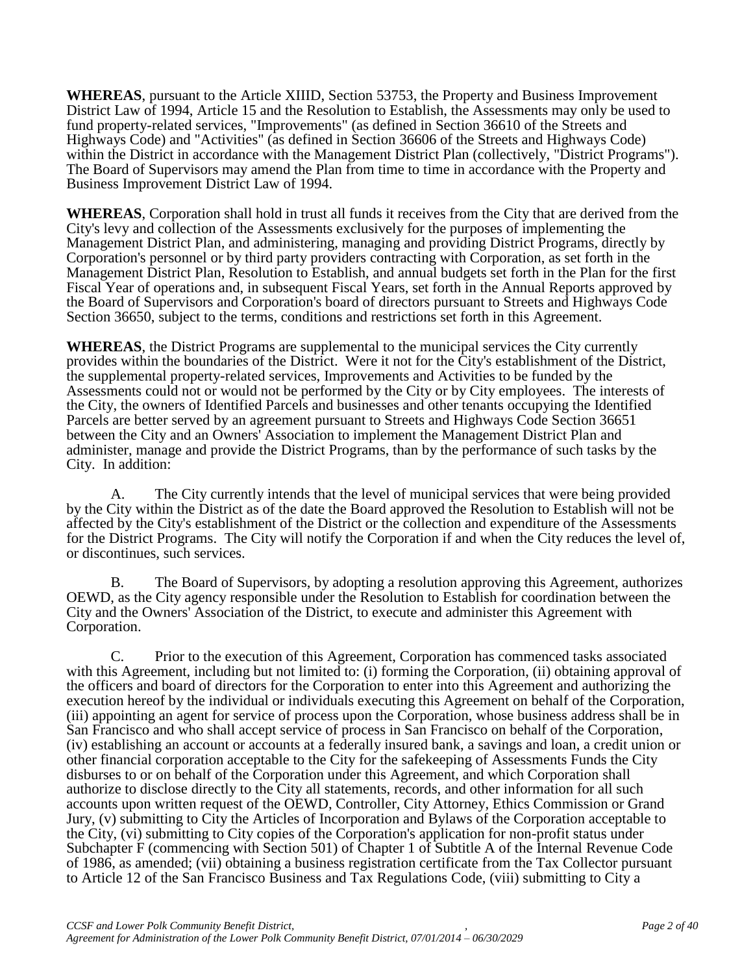**WHEREAS**, pursuant to the Article XIIID, Section 53753, the Property and Business Improvement District Law of 1994, Article 15 and the Resolution to Establish, the Assessments may only be used to fund property-related services, "Improvements" (as defined in Section 36610 of the Streets and Highways Code) and "Activities" (as defined in Section 36606 of the Streets and Highways Code) within the District in accordance with the Management District Plan (collectively, "District Programs"). The Board of Supervisors may amend the Plan from time to time in accordance with the Property and Business Improvement District Law of 1994.

**WHEREAS**, Corporation shall hold in trust all funds it receives from the City that are derived from the City's levy and collection of the Assessments exclusively for the purposes of implementing the Management District Plan, and administering, managing and providing District Programs, directly by Corporation's personnel or by third party providers contracting with Corporation, as set forth in the Management District Plan, Resolution to Establish, and annual budgets set forth in the Plan for the first Fiscal Year of operations and, in subsequent Fiscal Years, set forth in the Annual Reports approved by the Board of Supervisors and Corporation's board of directors pursuant to Streets and Highways Code Section 36650, subject to the terms, conditions and restrictions set forth in this Agreement.

**WHEREAS**, the District Programs are supplemental to the municipal services the City currently provides within the boundaries of the District. Were it not for the City's establishment of the District, the supplemental property-related services, Improvements and Activities to be funded by the Assessments could not or would not be performed by the City or by City employees. The interests of the City, the owners of Identified Parcels and businesses and other tenants occupying the Identified Parcels are better served by an agreement pursuant to Streets and Highways Code Section 36651 between the City and an Owners' Association to implement the Management District Plan and administer, manage and provide the District Programs, than by the performance of such tasks by the City. In addition:

A. The City currently intends that the level of municipal services that were being provided by the City within the District as of the date the Board approved the Resolution to Establish will not be affected by the City's establishment of the District or the collection and expenditure of the Assessments for the District Programs. The City will notify the Corporation if and when the City reduces the level of, or discontinues, such services.

B. The Board of Supervisors, by adopting a resolution approving this Agreement, authorizes OEWD, as the City agency responsible under the Resolution to Establish for coordination between the City and the Owners' Association of the District, to execute and administer this Agreement with Corporation.

C. Prior to the execution of this Agreement, Corporation has commenced tasks associated with this Agreement, including but not limited to: (i) forming the Corporation, (ii) obtaining approval of the officers and board of directors for the Corporation to enter into this Agreement and authorizing the execution hereof by the individual or individuals executing this Agreement on behalf of the Corporation, (iii) appointing an agent for service of process upon the Corporation, whose business address shall be in San Francisco and who shall accept service of process in San Francisco on behalf of the Corporation, (iv) establishing an account or accounts at a federally insured bank, a savings and loan, a credit union or other financial corporation acceptable to the City for the safekeeping of Assessments Funds the City disburses to or on behalf of the Corporation under this Agreement, and which Corporation shall authorize to disclose directly to the City all statements, records, and other information for all such accounts upon written request of the OEWD, Controller, City Attorney, Ethics Commission or Grand Jury, (v) submitting to City the Articles of Incorporation and Bylaws of the Corporation acceptable to the City, (vi) submitting to City copies of the Corporation's application for non-profit status under Subchapter F (commencing with Section 501) of Chapter 1 of Subtitle A of the Internal Revenue Code of 1986, as amended; (vii) obtaining a business registration certificate from the Tax Collector pursuant to Article 12 of the San Francisco Business and Tax Regulations Code, (viii) submitting to City a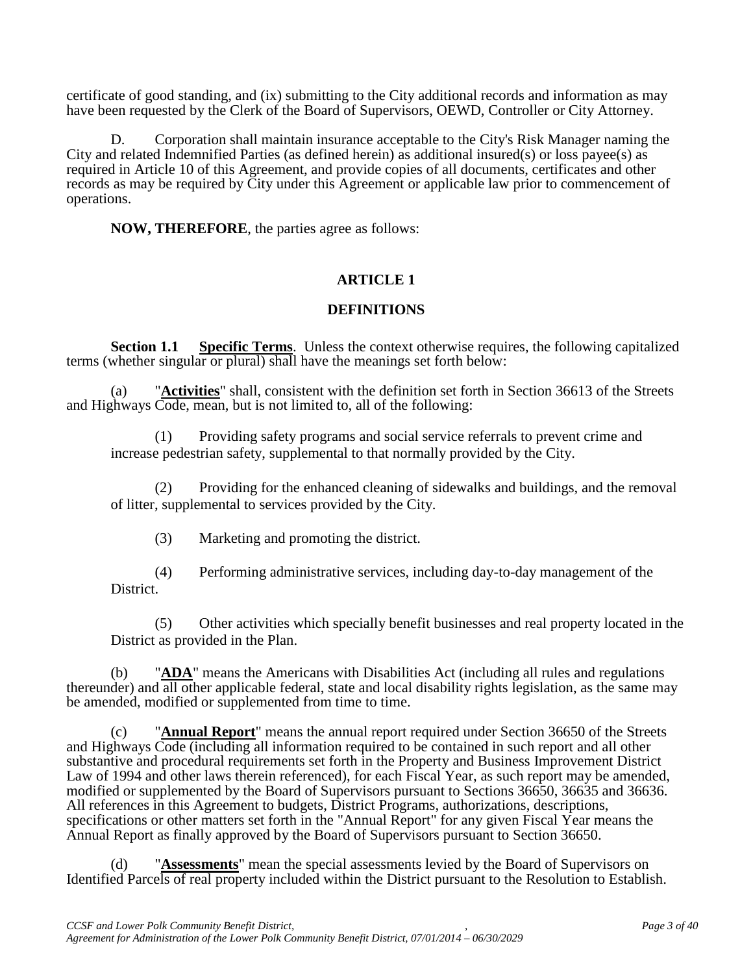certificate of good standing, and (ix) submitting to the City additional records and information as may have been requested by the Clerk of the Board of Supervisors, OEWD, Controller or City Attorney.

D. Corporation shall maintain insurance acceptable to the City's Risk Manager naming the City and related Indemnified Parties (as defined herein) as additional insured(s) or loss payee(s) as required in Article 10 of this Agreement, and provide copies of all documents, certificates and other records as may be required by City under this Agreement or applicable law prior to commencement of operations.

**NOW, THEREFORE**, the parties agree as follows:

# **ARTICLE 1**

# **DEFINITIONS**

**Section 1.1 Specific Terms**. Unless the context otherwise requires, the following capitalized terms (whether singular or plural) shall have the meanings set forth below:

(a) "**Activities**" shall, consistent with the definition set forth in Section 36613 of the Streets and Highways Code, mean, but is not limited to, all of the following:

(1) Providing safety programs and social service referrals to prevent crime and increase pedestrian safety, supplemental to that normally provided by the City.

(2) Providing for the enhanced cleaning of sidewalks and buildings, and the removal of litter, supplemental to services provided by the City.

(3) Marketing and promoting the district.

(4) Performing administrative services, including day-to-day management of the District.

(5) Other activities which specially benefit businesses and real property located in the District as provided in the Plan.

(b) "**ADA**" means the Americans with Disabilities Act (including all rules and regulations thereunder) and all other applicable federal, state and local disability rights legislation, as the same may be amended, modified or supplemented from time to time.

(c) "**Annual Report**" means the annual report required under Section 36650 of the Streets and Highways Code (including all information required to be contained in such report and all other substantive and procedural requirements set forth in the Property and Business Improvement District Law of 1994 and other laws therein referenced), for each Fiscal Year, as such report may be amended, modified or supplemented by the Board of Supervisors pursuant to Sections 36650, 36635 and 36636. All references in this Agreement to budgets, District Programs, authorizations, descriptions, specifications or other matters set forth in the "Annual Report" for any given Fiscal Year means the Annual Report as finally approved by the Board of Supervisors pursuant to Section 36650.

(d) "**Assessments**" mean the special assessments levied by the Board of Supervisors on Identified Parcels of real property included within the District pursuant to the Resolution to Establish.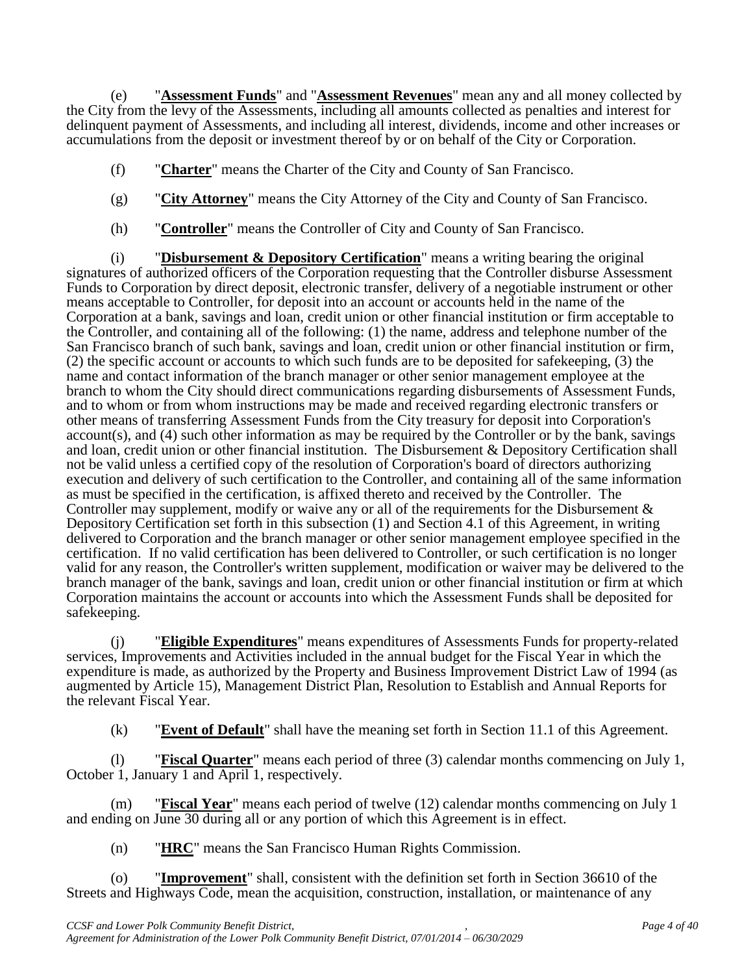(e) "**Assessment Funds**" and "**Assessment Revenues**" mean any and all money collected by the City from the levy of the Assessments, including all amounts collected as penalties and interest for delinquent payment of Assessments, and including all interest, dividends, income and other increases or accumulations from the deposit or investment thereof by or on behalf of the City or Corporation.

- (f) "**Charter**" means the Charter of the City and County of San Francisco.
- (g) "**City Attorney**" means the City Attorney of the City and County of San Francisco.
- (h) "**Controller**" means the Controller of City and County of San Francisco.

(i) "**Disbursement & Depository Certification**" means a writing bearing the original signatures of authorized officers of the Corporation requesting that the Controller disburse Assessment Funds to Corporation by direct deposit, electronic transfer, delivery of a negotiable instrument or other means acceptable to Controller, for deposit into an account or accounts held in the name of the Corporation at a bank, savings and loan, credit union or other financial institution or firm acceptable to the Controller, and containing all of the following: (1) the name, address and telephone number of the San Francisco branch of such bank, savings and loan, credit union or other financial institution or firm, (2) the specific account or accounts to which such funds are to be deposited for safekeeping, (3) the name and contact information of the branch manager or other senior management employee at the branch to whom the City should direct communications regarding disbursements of Assessment Funds, and to whom or from whom instructions may be made and received regarding electronic transfers or other means of transferring Assessment Funds from the City treasury for deposit into Corporation's account(s), and (4) such other information as may be required by the Controller or by the bank, savings and loan, credit union or other financial institution. The Disbursement & Depository Certification shall not be valid unless a certified copy of the resolution of Corporation's board of directors authorizing execution and delivery of such certification to the Controller, and containing all of the same information as must be specified in the certification, is affixed thereto and received by the Controller. The Controller may supplement, modify or waive any or all of the requirements for the Disbursement & Depository Certification set forth in this subsection (1) and Section 4.1 of this Agreement, in writing delivered to Corporation and the branch manager or other senior management employee specified in the certification. If no valid certification has been delivered to Controller, or such certification is no longer valid for any reason, the Controller's written supplement, modification or waiver may be delivered to the branch manager of the bank, savings and loan, credit union or other financial institution or firm at which Corporation maintains the account or accounts into which the Assessment Funds shall be deposited for safekeeping.

(j) "**Eligible Expenditures**" means expenditures of Assessments Funds for property-related services, Improvements and Activities included in the annual budget for the Fiscal Year in which the expenditure is made, as authorized by the Property and Business Improvement District Law of 1994 (as augmented by Article 15), Management District Plan, Resolution to Establish and Annual Reports for the relevant Fiscal Year.

(k) "**Event of Default**" shall have the meaning set forth in Section 11.1 of this Agreement.

(l) "**Fiscal Quarter**" means each period of three (3) calendar months commencing on July 1, October 1, January 1 and April 1, respectively.

(m) "**Fiscal Year**" means each period of twelve (12) calendar months commencing on July 1 and ending on June 30 during all or any portion of which this Agreement is in effect.

(n) "**HRC**" means the San Francisco Human Rights Commission.

(o) "**Improvement**" shall, consistent with the definition set forth in Section 36610 of the Streets and Highways Code, mean the acquisition, construction, installation, or maintenance of any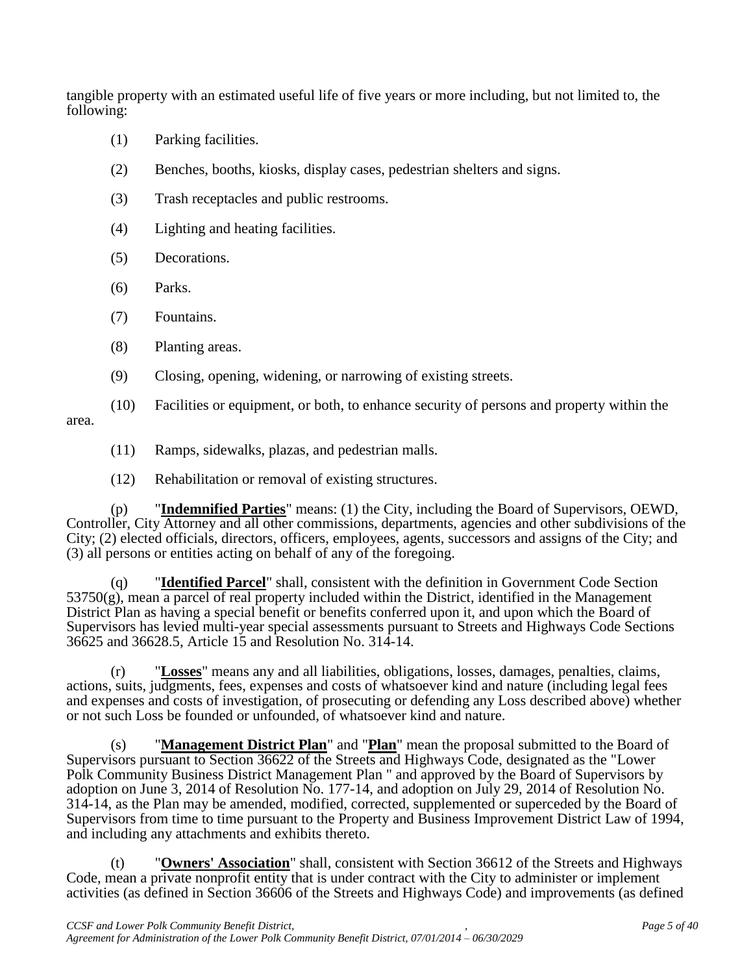tangible property with an estimated useful life of five years or more including, but not limited to, the following:

- (1) Parking facilities.
- (2) Benches, booths, kiosks, display cases, pedestrian shelters and signs.
- (3) Trash receptacles and public restrooms.
- (4) Lighting and heating facilities.
- (5) Decorations.
- (6) Parks.
- (7) Fountains.
- (8) Planting areas.
- (9) Closing, opening, widening, or narrowing of existing streets.
- (10) Facilities or equipment, or both, to enhance security of persons and property within the area.
	- (11) Ramps, sidewalks, plazas, and pedestrian malls.
	- (12) Rehabilitation or removal of existing structures.

(p) "**Indemnified Parties**" means: (1) the City, including the Board of Supervisors, OEWD, Controller, City Attorney and all other commissions, departments, agencies and other subdivisions of the City; (2) elected officials, directors, officers, employees, agents, successors and assigns of the City; and (3) all persons or entities acting on behalf of any of the foregoing.

(q) "**Identified Parcel**" shall, consistent with the definition in Government Code Section  $53750(g)$ , mean a parcel of real property included within the District, identified in the Management District Plan as having a special benefit or benefits conferred upon it, and upon which the Board of Supervisors has levied multi-year special assessments pursuant to Streets and Highways Code Sections 36625 and 36628.5, Article 15 and Resolution No. 314-14.

(r) "**Losses**" means any and all liabilities, obligations, losses, damages, penalties, claims, actions, suits, judgments, fees, expenses and costs of whatsoever kind and nature (including legal fees and expenses and costs of investigation, of prosecuting or defending any Loss described above) whether or not such Loss be founded or unfounded, of whatsoever kind and nature.

(s) "**Management District Plan**" and "**Plan**" mean the proposal submitted to the Board of Supervisors pursuant to Section 36622 of the Streets and Highways Code, designated as the "Lower Polk Community Business District Management Plan " and approved by the Board of Supervisors by adoption on June 3, 2014 of Resolution No. 177-14, and adoption on July 29, 2014 of Resolution No. 314-14, as the Plan may be amended, modified, corrected, supplemented or superceded by the Board of Supervisors from time to time pursuant to the Property and Business Improvement District Law of 1994, and including any attachments and exhibits thereto.

(t) "**Owners' Association**" shall, consistent with Section 36612 of the Streets and Highways Code, mean a private nonprofit entity that is under contract with the City to administer or implement activities (as defined in Section 36606 of the Streets and Highways Code) and improvements (as defined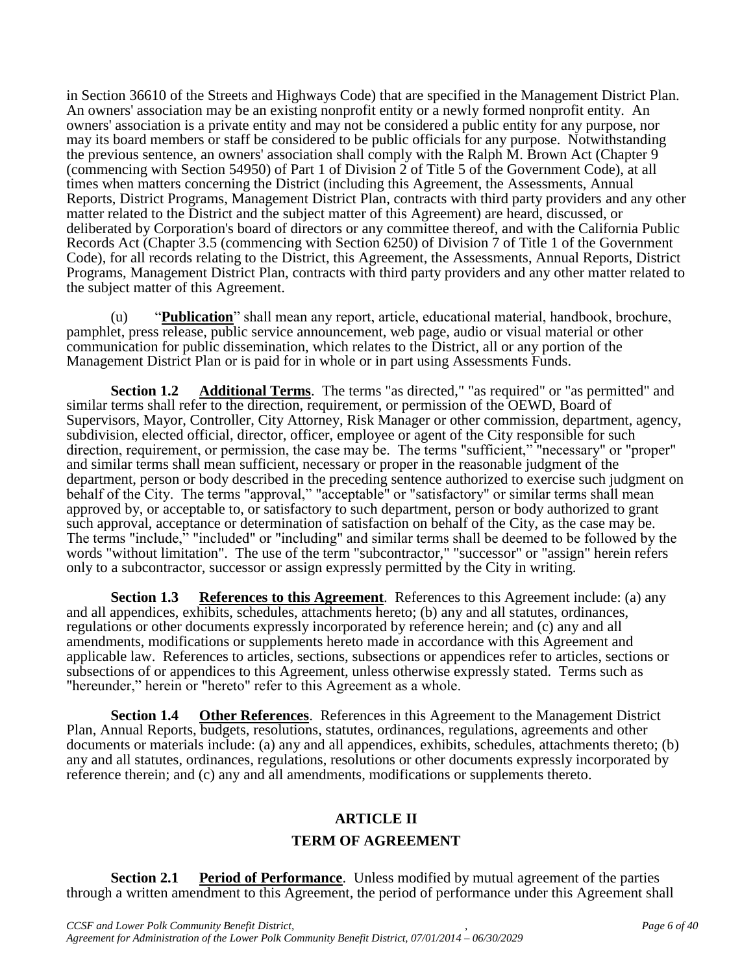in Section 36610 of the Streets and Highways Code) that are specified in the Management District Plan. An owners' association may be an existing nonprofit entity or a newly formed nonprofit entity. An owners' association is a private entity and may not be considered a public entity for any purpose, nor may its board members or staff be considered to be public officials for any purpose. Notwithstanding the previous sentence, an owners' association shall comply with the Ralph M. Brown Act (Chapter 9 (commencing with Section 54950) of Part 1 of Division 2 of Title 5 of the Government Code), at all times when matters concerning the District (including this Agreement, the Assessments, Annual Reports, District Programs, Management District Plan, contracts with third party providers and any other matter related to the District and the subject matter of this Agreement) are heard, discussed, or deliberated by Corporation's board of directors or any committee thereof, and with the California Public Records Act (Chapter 3.5 (commencing with Section 6250) of Division 7 of Title 1 of the Government Code), for all records relating to the District, this Agreement, the Assessments, Annual Reports, District Programs, Management District Plan, contracts with third party providers and any other matter related to the subject matter of this Agreement.

(u) "**Publication**" shall mean any report, article, educational material, handbook, brochure, pamphlet, press release, public service announcement, web page, audio or visual material or other communication for public dissemination, which relates to the District, all or any portion of the Management District Plan or is paid for in whole or in part using Assessments Funds.

**Section 1.2 Additional Terms**. The terms "as directed," "as required" or "as permitted" and similar terms shall refer to the direction, requirement, or permission of the OEWD, Board of Supervisors, Mayor, Controller, City Attorney, Risk Manager or other commission, department, agency, subdivision, elected official, director, officer, employee or agent of the City responsible for such direction, requirement, or permission, the case may be. The terms "sufficient," "necessary" or "proper" and similar terms shall mean sufficient, necessary or proper in the reasonable judgment of the department, person or body described in the preceding sentence authorized to exercise such judgment on behalf of the City. The terms "approval," "acceptable" or "satisfactory" or similar terms shall mean approved by, or acceptable to, or satisfactory to such department, person or body authorized to grant such approval, acceptance or determination of satisfaction on behalf of the City, as the case may be. The terms "include," "included" or "including" and similar terms shall be deemed to be followed by the words "without limitation". The use of the term "subcontractor," "successor" or "assign" herein refers only to a subcontractor, successor or assign expressly permitted by the City in writing.

**Section 1.3 References to this Agreement**. References to this Agreement include: (a) any and all appendices, exhibits, schedules, attachments hereto; (b) any and all statutes, ordinances, regulations or other documents expressly incorporated by reference herein; and (c) any and all amendments, modifications or supplements hereto made in accordance with this Agreement and applicable law. References to articles, sections, subsections or appendices refer to articles, sections or subsections of or appendices to this Agreement, unless otherwise expressly stated. Terms such as "hereunder," herein or "hereto" refer to this Agreement as a whole.

**Section 1.4** Other References. References in this Agreement to the Management District Plan, Annual Reports, budgets, resolutions, statutes, ordinances, regulations, agreements and other documents or materials include: (a) any and all appendices, exhibits, schedules, attachments thereto; (b) any and all statutes, ordinances, regulations, resolutions or other documents expressly incorporated by reference therein; and (c) any and all amendments, modifications or supplements thereto.

# **ARTICLE II**

#### **TERM OF AGREEMENT**

**Section 2.1 Period of Performance**. Unless modified by mutual agreement of the parties through a written amendment to this Agreement, the period of performance under this Agreement shall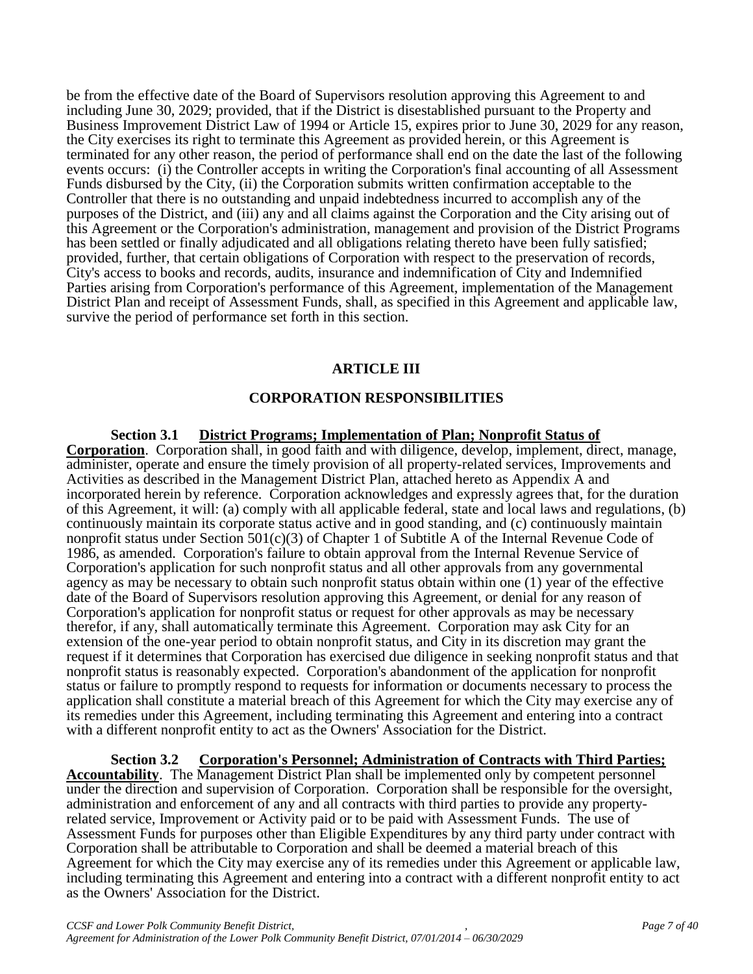be from the effective date of the Board of Supervisors resolution approving this Agreement to and including June 30, 2029; provided, that if the District is disestablished pursuant to the Property and Business Improvement District Law of 1994 or Article 15, expires prior to June 30, 2029 for any reason, the City exercises its right to terminate this Agreement as provided herein, or this Agreement is terminated for any other reason, the period of performance shall end on the date the last of the following events occurs: (i) the Controller accepts in writing the Corporation's final accounting of all Assessment Funds disbursed by the City, (ii) the Corporation submits written confirmation acceptable to the Controller that there is no outstanding and unpaid indebtedness incurred to accomplish any of the purposes of the District, and (iii) any and all claims against the Corporation and the City arising out of this Agreement or the Corporation's administration, management and provision of the District Programs has been settled or finally adjudicated and all obligations relating thereto have been fully satisfied; provided, further, that certain obligations of Corporation with respect to the preservation of records, City's access to books and records, audits, insurance and indemnification of City and Indemnified Parties arising from Corporation's performance of this Agreement, implementation of the Management District Plan and receipt of Assessment Funds, shall, as specified in this Agreement and applicable law, survive the period of performance set forth in this section.

# **ARTICLE III**

# **CORPORATION RESPONSIBILITIES**

**Section 3.1 District Programs; Implementation of Plan; Nonprofit Status of Corporation**. Corporation shall, in good faith and with diligence, develop, implement, direct, manage, administer, operate and ensure the timely provision of all property-related services, Improvements and Activities as described in the Management District Plan, attached hereto as Appendix A and incorporated herein by reference. Corporation acknowledges and expressly agrees that, for the duration of this Agreement, it will: (a) comply with all applicable federal, state and local laws and regulations, (b) continuously maintain its corporate status active and in good standing, and (c) continuously maintain nonprofit status under Section  $501(c)(3)$  of Chapter 1 of Subtitle A of the Internal Revenue Code of 1986, as amended. Corporation's failure to obtain approval from the Internal Revenue Service of Corporation's application for such nonprofit status and all other approvals from any governmental agency as may be necessary to obtain such nonprofit status obtain within one (1) year of the effective date of the Board of Supervisors resolution approving this Agreement, or denial for any reason of Corporation's application for nonprofit status or request for other approvals as may be necessary therefor, if any, shall automatically terminate this Agreement. Corporation may ask City for an extension of the one-year period to obtain nonprofit status, and City in its discretion may grant the request if it determines that Corporation has exercised due diligence in seeking nonprofit status and that nonprofit status is reasonably expected. Corporation's abandonment of the application for nonprofit status or failure to promptly respond to requests for information or documents necessary to process the application shall constitute a material breach of this Agreement for which the City may exercise any of its remedies under this Agreement, including terminating this Agreement and entering into a contract with a different nonprofit entity to act as the Owners' Association for the District.

**Section 3.2 Corporation's Personnel; Administration of Contracts with Third Parties; Accountability**. The Management District Plan shall be implemented only by competent personnel under the direction and supervision of Corporation. Corporation shall be responsible for the oversight, administration and enforcement of any and all contracts with third parties to provide any propertyrelated service, Improvement or Activity paid or to be paid with Assessment Funds. The use of Assessment Funds for purposes other than Eligible Expenditures by any third party under contract with Corporation shall be attributable to Corporation and shall be deemed a material breach of this Agreement for which the City may exercise any of its remedies under this Agreement or applicable law, including terminating this Agreement and entering into a contract with a different nonprofit entity to act as the Owners' Association for the District.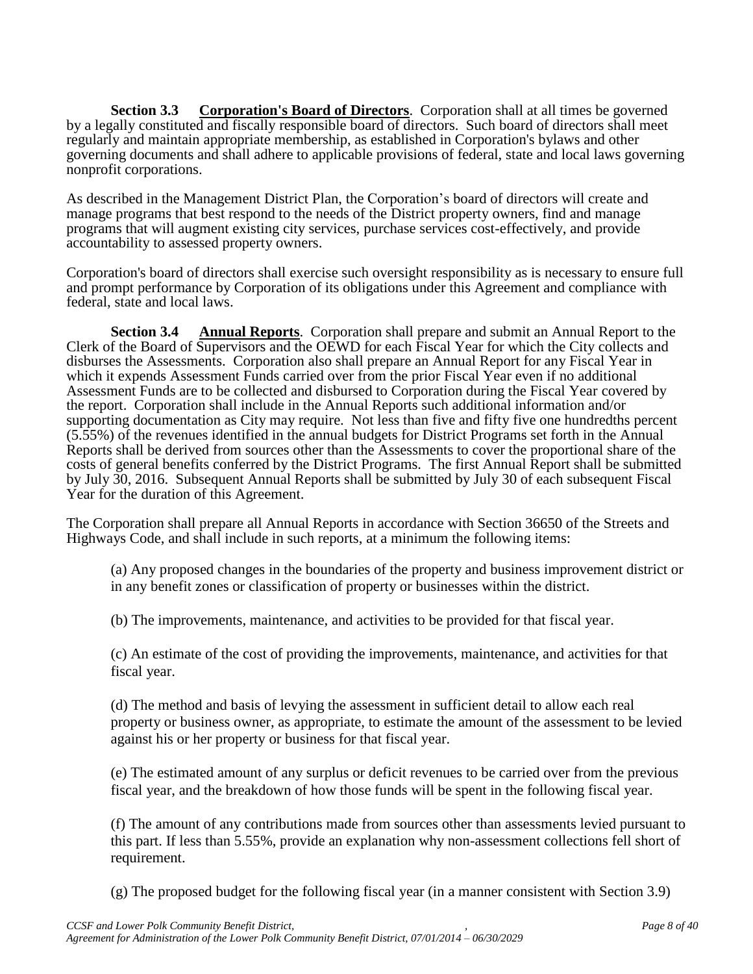**Section 3.3** Corporation's Board of Directors. Corporation shall at all times be governed by a legally constituted and fiscally responsible board of directors. Such board of directors shall meet regularly and maintain appropriate membership, as established in Corporation's bylaws and other governing documents and shall adhere to applicable provisions of federal, state and local laws governing nonprofit corporations.

As described in the Management District Plan, the Corporation's board of directors will create and manage programs that best respond to the needs of the District property owners, find and manage programs that will augment existing city services, purchase services cost-effectively, and provide accountability to assessed property owners.

Corporation's board of directors shall exercise such oversight responsibility as is necessary to ensure full and prompt performance by Corporation of its obligations under this Agreement and compliance with federal, state and local laws.

**Section 3.4 Annual Reports**. Corporation shall prepare and submit an Annual Report to the Clerk of the Board of Supervisors and the OEWD for each Fiscal Year for which the City collects and disburses the Assessments. Corporation also shall prepare an Annual Report for any Fiscal Year in which it expends Assessment Funds carried over from the prior Fiscal Year even if no additional Assessment Funds are to be collected and disbursed to Corporation during the Fiscal Year covered by the report. Corporation shall include in the Annual Reports such additional information and/or supporting documentation as City may require. Not less than five and fifty five one hundredths percent (5.55%) of the revenues identified in the annual budgets for District Programs set forth in the Annual Reports shall be derived from sources other than the Assessments to cover the proportional share of the costs of general benefits conferred by the District Programs. The first Annual Report shall be submitted by July 30, 2016. Subsequent Annual Reports shall be submitted by July 30 of each subsequent Fiscal Year for the duration of this Agreement.

The Corporation shall prepare all Annual Reports in accordance with Section 36650 of the Streets and Highways Code, and shall include in such reports, at a minimum the following items:

(a) Any proposed changes in the boundaries of the property and business improvement district or in any benefit zones or classification of property or businesses within the district.

(b) The improvements, maintenance, and activities to be provided for that fiscal year.

(c) An estimate of the cost of providing the improvements, maintenance, and activities for that fiscal year.

(d) The method and basis of levying the assessment in sufficient detail to allow each real property or business owner, as appropriate, to estimate the amount of the assessment to be levied against his or her property or business for that fiscal year.

(e) The estimated amount of any surplus or deficit revenues to be carried over from the previous fiscal year, and the breakdown of how those funds will be spent in the following fiscal year.

(f) The amount of any contributions made from sources other than assessments levied pursuant to this part. If less than 5.55%, provide an explanation why non-assessment collections fell short of requirement.

(g) The proposed budget for the following fiscal year (in a manner consistent with Section 3.9)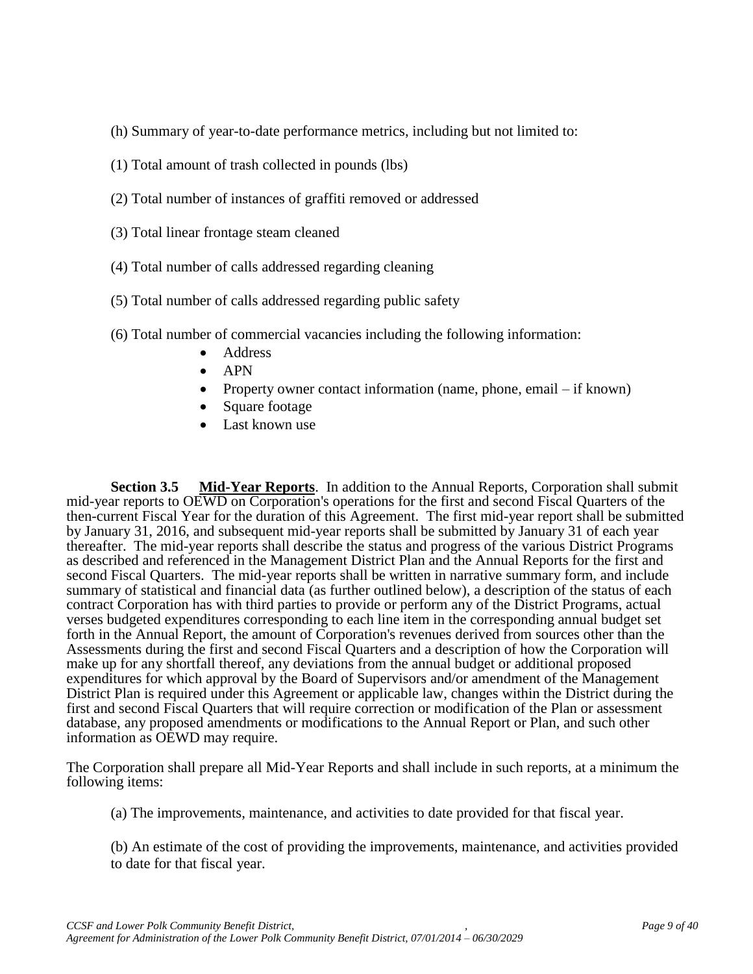(h) Summary of year-to-date performance metrics, including but not limited to:

- (1) Total amount of trash collected in pounds (lbs)
- (2) Total number of instances of graffiti removed or addressed
- (3) Total linear frontage steam cleaned
- (4) Total number of calls addressed regarding cleaning
- (5) Total number of calls addressed regarding public safety
- (6) Total number of commercial vacancies including the following information:
	- Address
	- $\bullet$  APN
	- Property owner contact information (name, phone, email if known)
	- Square footage
	- Last known use

**Section 3.5 Mid-Year Reports**. In addition to the Annual Reports, Corporation shall submit mid-year reports to OEWD on Corporation's operations for the first and second Fiscal Quarters of the then-current Fiscal Year for the duration of this Agreement. The first mid-year report shall be submitted by January 31, 2016, and subsequent mid-year reports shall be submitted by January 31 of each year thereafter. The mid-year reports shall describe the status and progress of the various District Programs as described and referenced in the Management District Plan and the Annual Reports for the first and second Fiscal Quarters. The mid-year reports shall be written in narrative summary form, and include summary of statistical and financial data (as further outlined below), a description of the status of each contract Corporation has with third parties to provide or perform any of the District Programs, actual verses budgeted expenditures corresponding to each line item in the corresponding annual budget set forth in the Annual Report, the amount of Corporation's revenues derived from sources other than the Assessments during the first and second Fiscal Quarters and a description of how the Corporation will make up for any shortfall thereof, any deviations from the annual budget or additional proposed expenditures for which approval by the Board of Supervisors and/or amendment of the Management District Plan is required under this Agreement or applicable law, changes within the District during the first and second Fiscal Quarters that will require correction or modification of the Plan or assessment database, any proposed amendments or modifications to the Annual Report or Plan, and such other information as OEWD may require.

The Corporation shall prepare all Mid-Year Reports and shall include in such reports, at a minimum the following items:

(a) The improvements, maintenance, and activities to date provided for that fiscal year.

(b) An estimate of the cost of providing the improvements, maintenance, and activities provided to date for that fiscal year.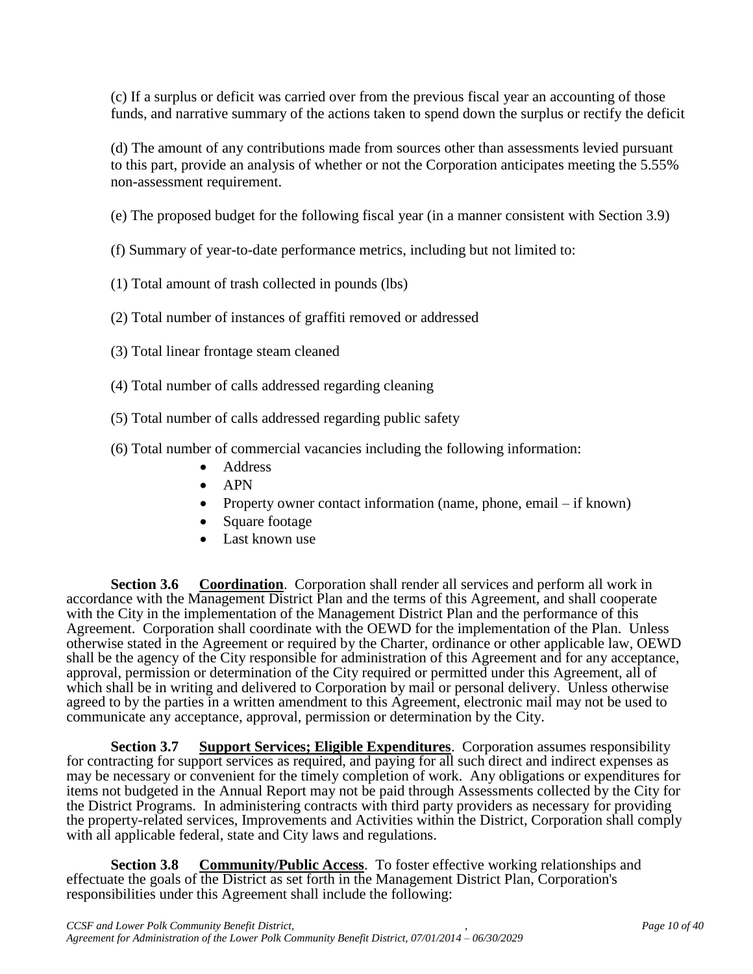(c) If a surplus or deficit was carried over from the previous fiscal year an accounting of those funds, and narrative summary of the actions taken to spend down the surplus or rectify the deficit

(d) The amount of any contributions made from sources other than assessments levied pursuant to this part, provide an analysis of whether or not the Corporation anticipates meeting the 5.55% non-assessment requirement.

- (e) The proposed budget for the following fiscal year (in a manner consistent with Section 3.9)
- (f) Summary of year-to-date performance metrics, including but not limited to:
- (1) Total amount of trash collected in pounds (lbs)
- (2) Total number of instances of graffiti removed or addressed
- (3) Total linear frontage steam cleaned
- (4) Total number of calls addressed regarding cleaning
- (5) Total number of calls addressed regarding public safety
- (6) Total number of commercial vacancies including the following information:
	- Address
	- $\bullet$  APN
	- Property owner contact information (name, phone, email if known)
	- Square footage
	- Last known use

**Section 3.6 Coordination**. Corporation shall render all services and perform all work in accordance with the Management District Plan and the terms of this Agreement, and shall cooperate with the City in the implementation of the Management District Plan and the performance of this Agreement. Corporation shall coordinate with the OEWD for the implementation of the Plan. Unless otherwise stated in the Agreement or required by the Charter, ordinance or other applicable law, OEWD shall be the agency of the City responsible for administration of this Agreement and for any acceptance, approval, permission or determination of the City required or permitted under this Agreement, all of which shall be in writing and delivered to Corporation by mail or personal delivery. Unless otherwise agreed to by the parties in a written amendment to this Agreement, electronic mail may not be used to communicate any acceptance, approval, permission or determination by the City.

**Section 3.7 Support Services; Eligible Expenditures**. Corporation assumes responsibility for contracting for support services as required, and paying for all such direct and indirect expenses as may be necessary or convenient for the timely completion of work. Any obligations or expenditures for items not budgeted in the Annual Report may not be paid through Assessments collected by the City for the District Programs. In administering contracts with third party providers as necessary for providing the property-related services, Improvements and Activities within the District, Corporation shall comply with all applicable federal, state and City laws and regulations.

**Section 3.8** Community/Public Access. To foster effective working relationships and effectuate the goals of the District as set forth in the Management District Plan, Corporation's responsibilities under this Agreement shall include the following: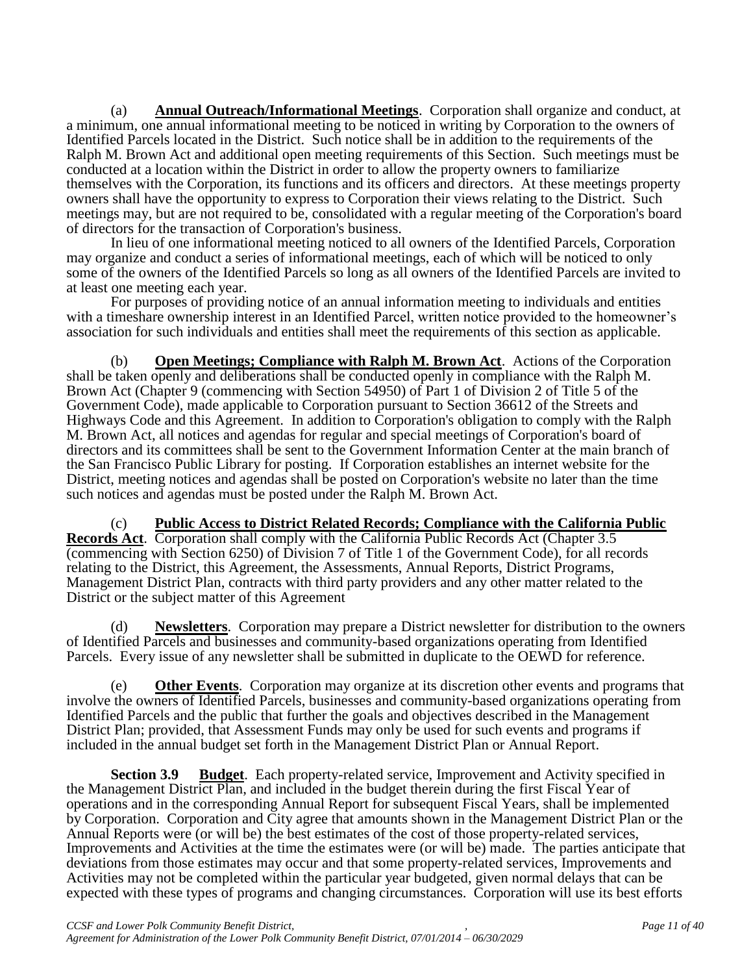(a) **Annual Outreach/Informational Meetings**. Corporation shall organize and conduct, at a minimum, one annual informational meeting to be noticed in writing by Corporation to the owners of Identified Parcels located in the District. Such notice shall be in addition to the requirements of the Ralph M. Brown Act and additional open meeting requirements of this Section. Such meetings must be conducted at a location within the District in order to allow the property owners to familiarize themselves with the Corporation, its functions and its officers and directors. At these meetings property owners shall have the opportunity to express to Corporation their views relating to the District. Such meetings may, but are not required to be, consolidated with a regular meeting of the Corporation's board of directors for the transaction of Corporation's business.

In lieu of one informational meeting noticed to all owners of the Identified Parcels, Corporation may organize and conduct a series of informational meetings, each of which will be noticed to only some of the owners of the Identified Parcels so long as all owners of the Identified Parcels are invited to at least one meeting each year.

For purposes of providing notice of an annual information meeting to individuals and entities with a timeshare ownership interest in an Identified Parcel, written notice provided to the homeowner's association for such individuals and entities shall meet the requirements of this section as applicable.

(b) **Open Meetings; Compliance with Ralph M. Brown Act**. Actions of the Corporation shall be taken openly and deliberations shall be conducted openly in compliance with the Ralph M. Brown Act (Chapter 9 (commencing with Section 54950) of Part 1 of Division 2 of Title 5 of the Government Code), made applicable to Corporation pursuant to Section 36612 of the Streets and Highways Code and this Agreement. In addition to Corporation's obligation to comply with the Ralph M. Brown Act, all notices and agendas for regular and special meetings of Corporation's board of directors and its committees shall be sent to the Government Information Center at the main branch of the San Francisco Public Library for posting. If Corporation establishes an internet website for the District, meeting notices and agendas shall be posted on Corporation's website no later than the time such notices and agendas must be posted under the Ralph M. Brown Act.

(c) **Public Access to District Related Records; Compliance with the California Public Records Act**. Corporation shall comply with the California Public Records Act (Chapter 3.5 (commencing with Section 6250) of Division 7 of Title 1 of the Government Code), for all records relating to the District, this Agreement, the Assessments, Annual Reports, District Programs, Management District Plan, contracts with third party providers and any other matter related to the District or the subject matter of this Agreement

(d) **Newsletters**. Corporation may prepare a District newsletter for distribution to the owners of Identified Parcels and businesses and community-based organizations operating from Identified Parcels. Every issue of any newsletter shall be submitted in duplicate to the OEWD for reference.

(e) **Other Events**. Corporation may organize at its discretion other events and programs that involve the owners of Identified Parcels, businesses and community-based organizations operating from Identified Parcels and the public that further the goals and objectives described in the Management District Plan; provided, that Assessment Funds may only be used for such events and programs if included in the annual budget set forth in the Management District Plan or Annual Report.

**Section 3.9 Budget**. Each property-related service, Improvement and Activity specified in the Management District Plan, and included in the budget therein during the first Fiscal Year of operations and in the corresponding Annual Report for subsequent Fiscal Years, shall be implemented by Corporation. Corporation and City agree that amounts shown in the Management District Plan or the Annual Reports were (or will be) the best estimates of the cost of those property-related services, Improvements and Activities at the time the estimates were (or will be) made. The parties anticipate that deviations from those estimates may occur and that some property-related services, Improvements and Activities may not be completed within the particular year budgeted, given normal delays that can be expected with these types of programs and changing circumstances. Corporation will use its best efforts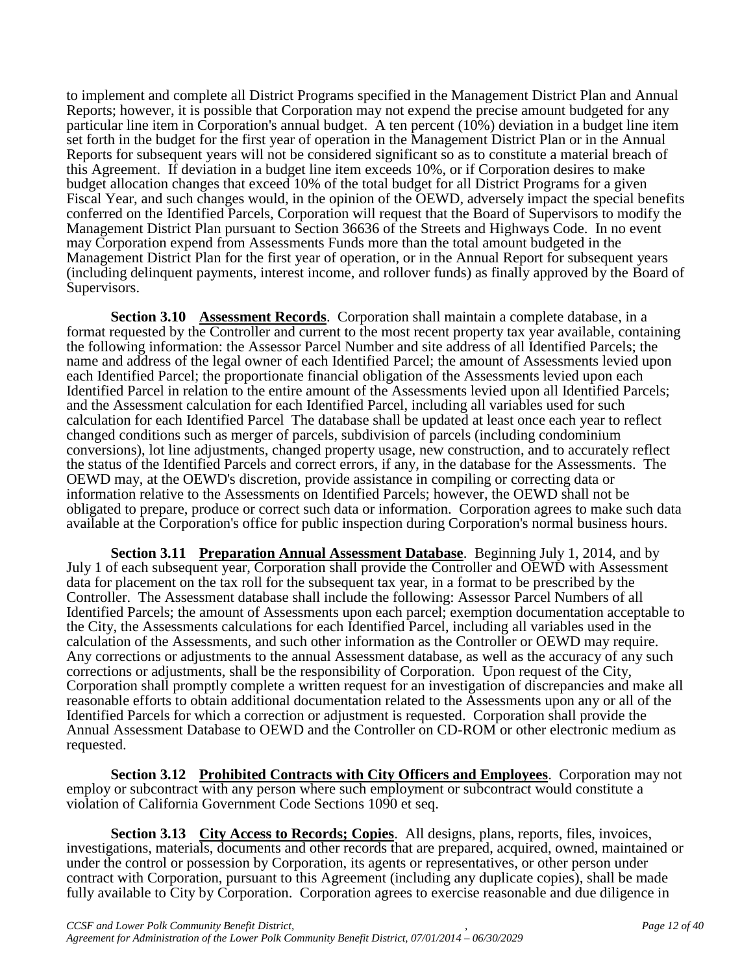to implement and complete all District Programs specified in the Management District Plan and Annual Reports; however, it is possible that Corporation may not expend the precise amount budgeted for any particular line item in Corporation's annual budget. A ten percent (10%) deviation in a budget line item set forth in the budget for the first year of operation in the Management District Plan or in the Annual Reports for subsequent years will not be considered significant so as to constitute a material breach of this Agreement. If deviation in a budget line item exceeds 10%, or if Corporation desires to make budget allocation changes that exceed 10% of the total budget for all District Programs for a given Fiscal Year, and such changes would, in the opinion of the OEWD, adversely impact the special benefits conferred on the Identified Parcels, Corporation will request that the Board of Supervisors to modify the Management District Plan pursuant to Section 36636 of the Streets and Highways Code. In no event may Corporation expend from Assessments Funds more than the total amount budgeted in the Management District Plan for the first year of operation, or in the Annual Report for subsequent years (including delinquent payments, interest income, and rollover funds) as finally approved by the Board of Supervisors.

**Section 3.10 Assessment Records**. Corporation shall maintain a complete database, in a format requested by the Controller and current to the most recent property tax year available, containing the following information: the Assessor Parcel Number and site address of all Identified Parcels; the name and address of the legal owner of each Identified Parcel; the amount of Assessments levied upon each Identified Parcel; the proportionate financial obligation of the Assessments levied upon each Identified Parcel in relation to the entire amount of the Assessments levied upon all Identified Parcels; and the Assessment calculation for each Identified Parcel, including all variables used for such calculation for each Identified Parcel The database shall be updated at least once each year to reflect changed conditions such as merger of parcels, subdivision of parcels (including condominium conversions), lot line adjustments, changed property usage, new construction, and to accurately reflect the status of the Identified Parcels and correct errors, if any, in the database for the Assessments. The OEWD may, at the OEWD's discretion, provide assistance in compiling or correcting data or information relative to the Assessments on Identified Parcels; however, the OEWD shall not be obligated to prepare, produce or correct such data or information. Corporation agrees to make such data available at the Corporation's office for public inspection during Corporation's normal business hours.

**Section 3.11 Preparation Annual Assessment Database**. Beginning July 1, 2014, and by July 1 of each subsequent year, Corporation shall provide the Controller and OEWD with Assessment data for placement on the tax roll for the subsequent tax year, in a format to be prescribed by the Controller. The Assessment database shall include the following: Assessor Parcel Numbers of all Identified Parcels; the amount of Assessments upon each parcel; exemption documentation acceptable to the City, the Assessments calculations for each Identified Parcel, including all variables used in the calculation of the Assessments, and such other information as the Controller or OEWD may require. Any corrections or adjustments to the annual Assessment database, as well as the accuracy of any such corrections or adjustments, shall be the responsibility of Corporation. Upon request of the City, Corporation shall promptly complete a written request for an investigation of discrepancies and make all reasonable efforts to obtain additional documentation related to the Assessments upon any or all of the Identified Parcels for which a correction or adjustment is requested. Corporation shall provide the Annual Assessment Database to OEWD and the Controller on CD-ROM or other electronic medium as requested.

**Section 3.12 Prohibited Contracts with City Officers and Employees**. Corporation may not employ or subcontract with any person where such employment or subcontract would constitute a violation of California Government Code Sections 1090 et seq.

**Section 3.13 City Access to Records; Copies**. All designs, plans, reports, files, invoices, investigations, materials, documents and other records that are prepared, acquired, owned, maintained or under the control or possession by Corporation, its agents or representatives, or other person under contract with Corporation, pursuant to this Agreement (including any duplicate copies), shall be made fully available to City by Corporation. Corporation agrees to exercise reasonable and due diligence in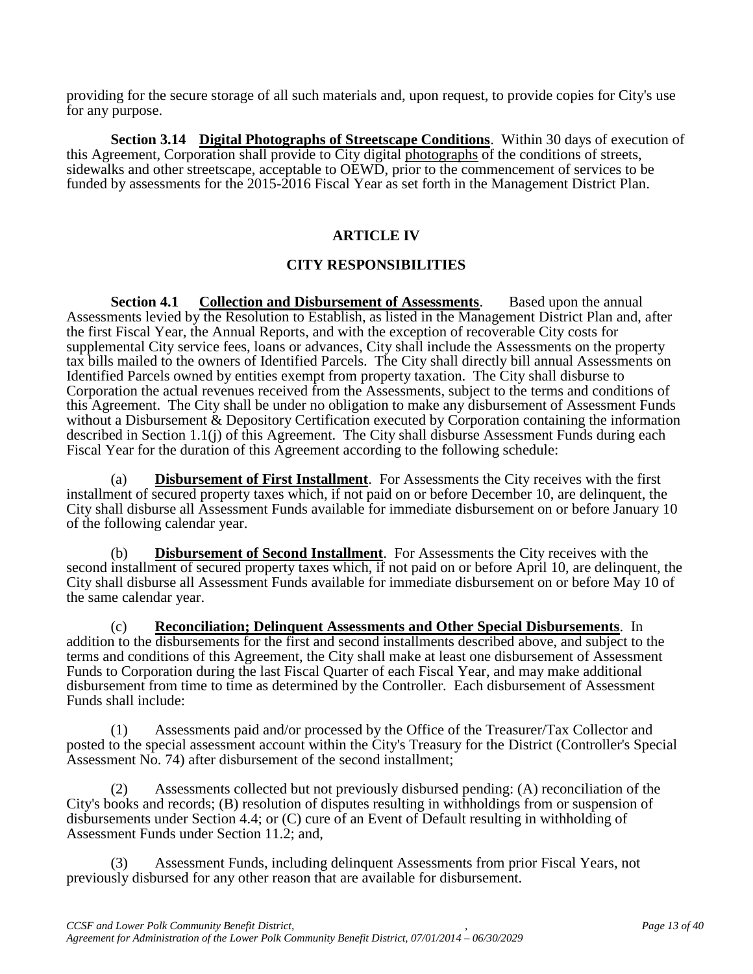providing for the secure storage of all such materials and, upon request, to provide copies for City's use for any purpose.

**Section 3.14 Digital Photographs of Streetscape Conditions**. Within 30 days of execution of this Agreement, Corporation shall provide to City digital photographs of the conditions of streets, sidewalks and other streetscape, acceptable to OEWD, prior to the commencement of services to be funded by assessments for the 2015-2016 Fiscal Year as set forth in the Management District Plan.

# **ARTICLE IV**

# **CITY RESPONSIBILITIES**

**Section 4.1 Collection and Disbursement of Assessments**. Based upon the annual Assessments levied by the Resolution to Establish, as listed in the Management District Plan and, after the first Fiscal Year, the Annual Reports, and with the exception of recoverable City costs for supplemental City service fees, loans or advances, City shall include the Assessments on the property tax bills mailed to the owners of Identified Parcels. The City shall directly bill annual Assessments on Identified Parcels owned by entities exempt from property taxation. The City shall disburse to Corporation the actual revenues received from the Assessments, subject to the terms and conditions of this Agreement. The City shall be under no obligation to make any disbursement of Assessment Funds without a Disbursement & Depository Certification executed by Corporation containing the information described in Section 1.1(j) of this Agreement. The City shall disburse Assessment Funds during each Fiscal Year for the duration of this Agreement according to the following schedule:

(a) **Disbursement of First Installment**. For Assessments the City receives with the first installment of secured property taxes which, if not paid on or before December 10, are delinquent, the City shall disburse all Assessment Funds available for immediate disbursement on or before January 10 of the following calendar year.

(b) **Disbursement of Second Installment**. For Assessments the City receives with the second installment of secured property taxes which, if not paid on or before April 10, are delinquent, the City shall disburse all Assessment Funds available for immediate disbursement on or before May 10 of the same calendar year.

(c) **Reconciliation; Delinquent Assessments and Other Special Disbursements**. In addition to the disbursements for the first and second installments described above, and subject to the terms and conditions of this Agreement, the City shall make at least one disbursement of Assessment Funds to Corporation during the last Fiscal Quarter of each Fiscal Year, and may make additional disbursement from time to time as determined by the Controller. Each disbursement of Assessment Funds shall include:

(1) Assessments paid and/or processed by the Office of the Treasurer/Tax Collector and posted to the special assessment account within the City's Treasury for the District (Controller's Special Assessment No. 74) after disbursement of the second installment;

(2) Assessments collected but not previously disbursed pending: (A) reconciliation of the City's books and records; (B) resolution of disputes resulting in withholdings from or suspension of disbursements under Section 4.4; or (C) cure of an Event of Default resulting in withholding of Assessment Funds under Section 11.2; and,

(3) Assessment Funds, including delinquent Assessments from prior Fiscal Years, not previously disbursed for any other reason that are available for disbursement.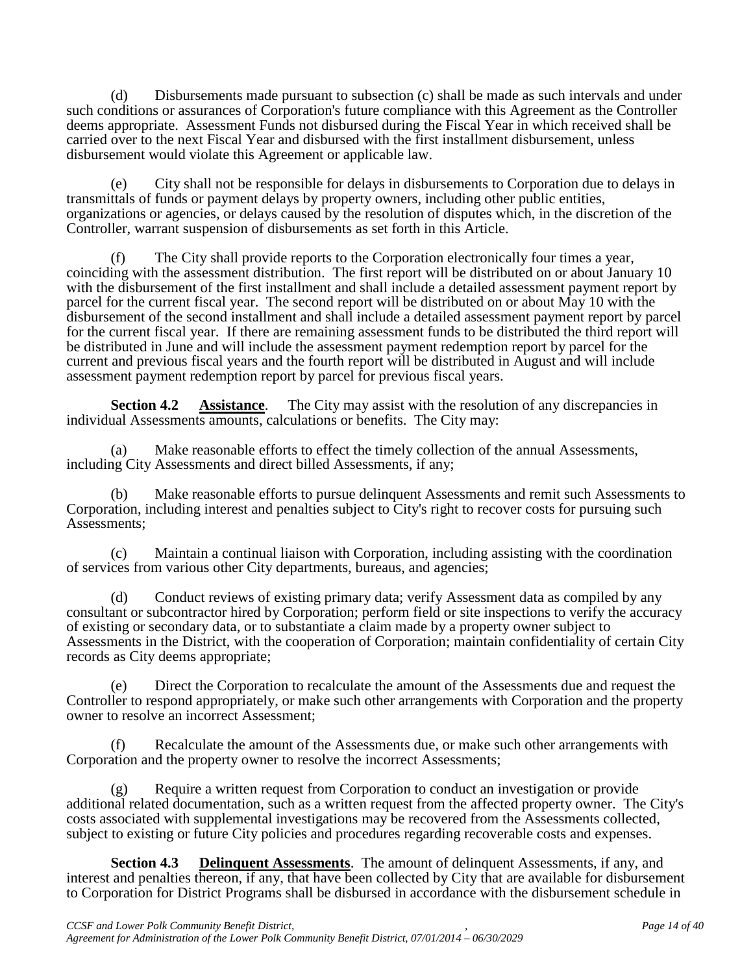(d) Disbursements made pursuant to subsection (c) shall be made as such intervals and under such conditions or assurances of Corporation's future compliance with this Agreement as the Controller deems appropriate. Assessment Funds not disbursed during the Fiscal Year in which received shall be carried over to the next Fiscal Year and disbursed with the first installment disbursement, unless disbursement would violate this Agreement or applicable law.

(e) City shall not be responsible for delays in disbursements to Corporation due to delays in transmittals of funds or payment delays by property owners, including other public entities, organizations or agencies, or delays caused by the resolution of disputes which, in the discretion of the Controller, warrant suspension of disbursements as set forth in this Article.

(f) The City shall provide reports to the Corporation electronically four times a year, coinciding with the assessment distribution. The first report will be distributed on or about January 10 with the disbursement of the first installment and shall include a detailed assessment payment report by parcel for the current fiscal year. The second report will be distributed on or about May 10 with the disbursement of the second installment and shall include a detailed assessment payment report by parcel for the current fiscal year. If there are remaining assessment funds to be distributed the third report will be distributed in June and will include the assessment payment redemption report by parcel for the current and previous fiscal years and the fourth report will be distributed in August and will include assessment payment redemption report by parcel for previous fiscal years.

**Section 4.2 Assistance**. The City may assist with the resolution of any discrepancies in individual Assessments amounts, calculations or benefits. The City may:

(a) Make reasonable efforts to effect the timely collection of the annual Assessments, including City Assessments and direct billed Assessments, if any;

(b) Make reasonable efforts to pursue delinquent Assessments and remit such Assessments to Corporation, including interest and penalties subject to City's right to recover costs for pursuing such Assessments;

(c) Maintain a continual liaison with Corporation, including assisting with the coordination of services from various other City departments, bureaus, and agencies;

(d) Conduct reviews of existing primary data; verify Assessment data as compiled by any consultant or subcontractor hired by Corporation; perform field or site inspections to verify the accuracy of existing or secondary data, or to substantiate a claim made by a property owner subject to Assessments in the District, with the cooperation of Corporation; maintain confidentiality of certain City records as City deems appropriate;

(e) Direct the Corporation to recalculate the amount of the Assessments due and request the Controller to respond appropriately, or make such other arrangements with Corporation and the property owner to resolve an incorrect Assessment;

(f) Recalculate the amount of the Assessments due, or make such other arrangements with Corporation and the property owner to resolve the incorrect Assessments;

(g) Require a written request from Corporation to conduct an investigation or provide additional related documentation, such as a written request from the affected property owner. The City's costs associated with supplemental investigations may be recovered from the Assessments collected, subject to existing or future City policies and procedures regarding recoverable costs and expenses.

**Section 4.3 Delinquent Assessments**. The amount of delinquent Assessments, if any, and interest and penalties thereon, if any, that have been collected by City that are available for disbursement to Corporation for District Programs shall be disbursed in accordance with the disbursement schedule in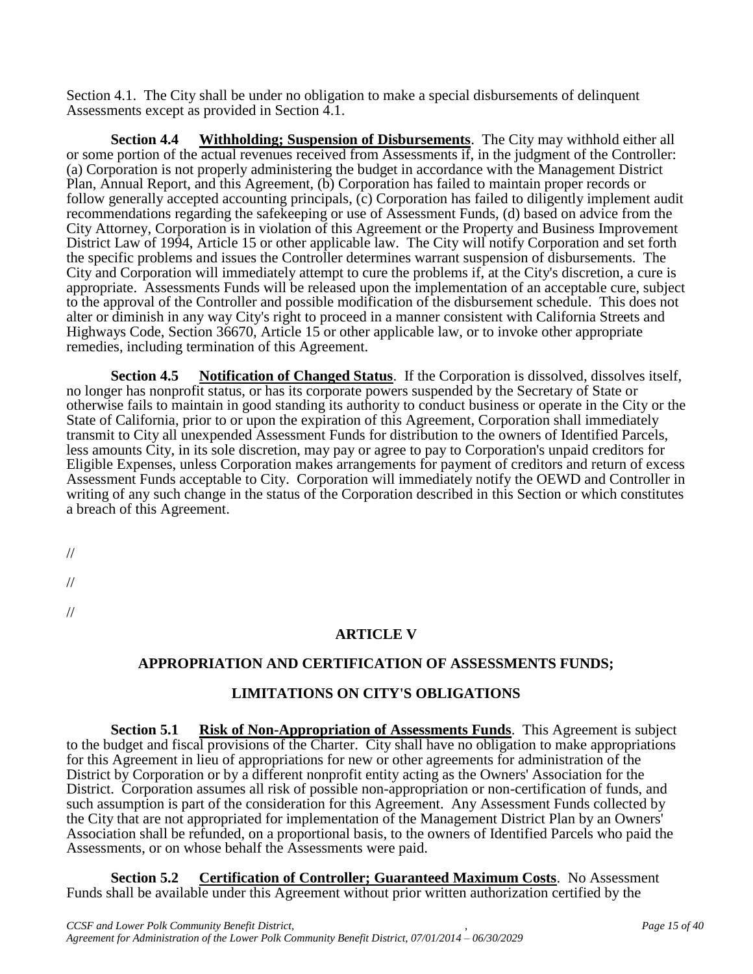Section 4.1. The City shall be under no obligation to make a special disbursements of delinquent Assessments except as provided in Section 4.1.

**Section 4.4 Withholding; Suspension of Disbursements**. The City may withhold either all or some portion of the actual revenues received from Assessments if, in the judgment of the Controller: (a) Corporation is not properly administering the budget in accordance with the Management District Plan, Annual Report, and this Agreement, (b) Corporation has failed to maintain proper records or follow generally accepted accounting principals, (c) Corporation has failed to diligently implement audit recommendations regarding the safekeeping or use of Assessment Funds, (d) based on advice from the City Attorney, Corporation is in violation of this Agreement or the Property and Business Improvement District Law of 1994, Article 15 or other applicable law. The City will notify Corporation and set forth the specific problems and issues the Controller determines warrant suspension of disbursements. The City and Corporation will immediately attempt to cure the problems if, at the City's discretion, a cure is appropriate. Assessments Funds will be released upon the implementation of an acceptable cure, subject to the approval of the Controller and possible modification of the disbursement schedule. This does not alter or diminish in any way City's right to proceed in a manner consistent with California Streets and Highways Code, Section 36670, Article 15 or other applicable law, or to invoke other appropriate remedies, including termination of this Agreement.

**Section 4.5 Notification of Changed Status**. If the Corporation is dissolved, dissolves itself, no longer has nonprofit status, or has its corporate powers suspended by the Secretary of State or otherwise fails to maintain in good standing its authority to conduct business or operate in the City or the State of California, prior to or upon the expiration of this Agreement, Corporation shall immediately transmit to City all unexpended Assessment Funds for distribution to the owners of Identified Parcels, less amounts City, in its sole discretion, may pay or agree to pay to Corporation's unpaid creditors for Eligible Expenses, unless Corporation makes arrangements for payment of creditors and return of excess Assessment Funds acceptable to City. Corporation will immediately notify the OEWD and Controller in writing of any such change in the status of the Corporation described in this Section or which constitutes a breach of this Agreement.

//

//

//

# **ARTICLE V**

# **APPROPRIATION AND CERTIFICATION OF ASSESSMENTS FUNDS;**

# **LIMITATIONS ON CITY'S OBLIGATIONS**

**Section 5.1 Risk of Non-Appropriation of Assessments Funds**. This Agreement is subject to the budget and fiscal provisions of the Charter. City shall have no obligation to make appropriations for this Agreement in lieu of appropriations for new or other agreements for administration of the District by Corporation or by a different nonprofit entity acting as the Owners' Association for the District. Corporation assumes all risk of possible non-appropriation or non-certification of funds, and such assumption is part of the consideration for this Agreement. Any Assessment Funds collected by the City that are not appropriated for implementation of the Management District Plan by an Owners' Association shall be refunded, on a proportional basis, to the owners of Identified Parcels who paid the Assessments, or on whose behalf the Assessments were paid.

**Section 5.2 Certification of Controller; Guaranteed Maximum Costs**. No Assessment Funds shall be available under this Agreement without prior written authorization certified by the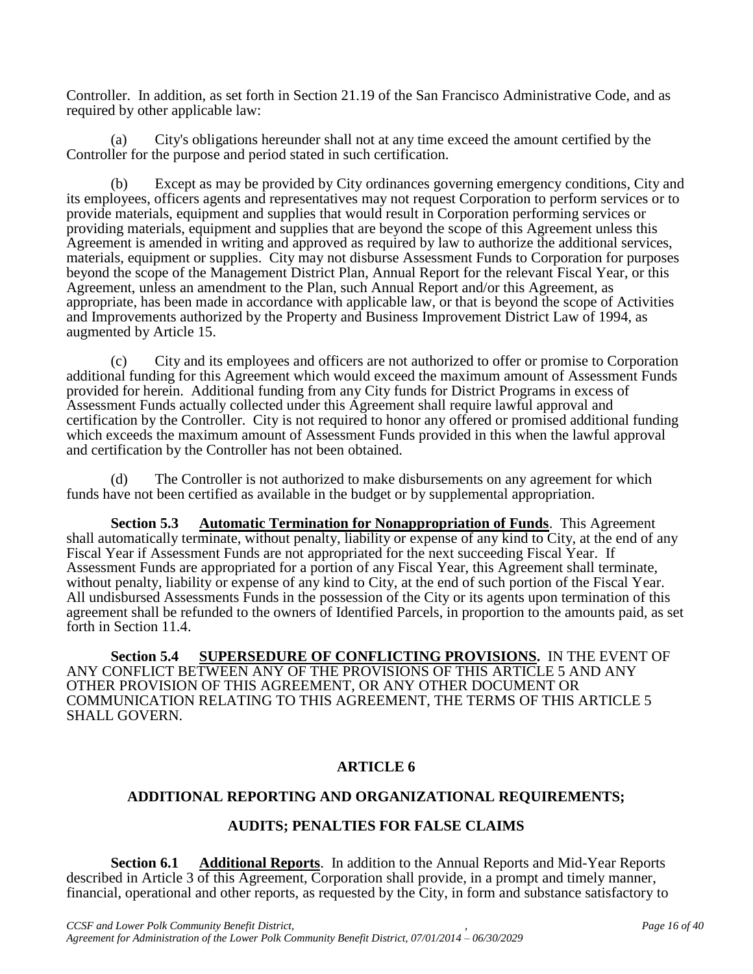Controller. In addition, as set forth in Section 21.19 of the San Francisco Administrative Code, and as required by other applicable law:

(a) City's obligations hereunder shall not at any time exceed the amount certified by the Controller for the purpose and period stated in such certification.

(b) Except as may be provided by City ordinances governing emergency conditions, City and its employees, officers agents and representatives may not request Corporation to perform services or to provide materials, equipment and supplies that would result in Corporation performing services or providing materials, equipment and supplies that are beyond the scope of this Agreement unless this Agreement is amended in writing and approved as required by law to authorize the additional services, materials, equipment or supplies. City may not disburse Assessment Funds to Corporation for purposes beyond the scope of the Management District Plan, Annual Report for the relevant Fiscal Year, or this Agreement, unless an amendment to the Plan, such Annual Report and/or this Agreement, as appropriate, has been made in accordance with applicable law, or that is beyond the scope of Activities and Improvements authorized by the Property and Business Improvement District Law of 1994, as augmented by Article 15.

(c) City and its employees and officers are not authorized to offer or promise to Corporation additional funding for this Agreement which would exceed the maximum amount of Assessment Funds provided for herein. Additional funding from any City funds for District Programs in excess of Assessment Funds actually collected under this Agreement shall require lawful approval and certification by the Controller. City is not required to honor any offered or promised additional funding which exceeds the maximum amount of Assessment Funds provided in this when the lawful approval and certification by the Controller has not been obtained.

(d) The Controller is not authorized to make disbursements on any agreement for which funds have not been certified as available in the budget or by supplemental appropriation.

**Section 5.3 Automatic Termination for Nonappropriation of Funds**. This Agreement shall automatically terminate, without penalty, liability or expense of any kind to City, at the end of any Fiscal Year if Assessment Funds are not appropriated for the next succeeding Fiscal Year. If Assessment Funds are appropriated for a portion of any Fiscal Year, this Agreement shall terminate, without penalty, liability or expense of any kind to City, at the end of such portion of the Fiscal Year. All undisbursed Assessments Funds in the possession of the City or its agents upon termination of this agreement shall be refunded to the owners of Identified Parcels, in proportion to the amounts paid, as set forth in Section 11.4.

**Section 5.4 SUPERSEDURE OF CONFLICTING PROVISIONS.** IN THE EVENT OF ANY CONFLICT BETWEEN ANY OF THE PROVISIONS OF THIS ARTICLE 5 AND ANY OTHER PROVISION OF THIS AGREEMENT, OR ANY OTHER DOCUMENT OR COMMUNICATION RELATING TO THIS AGREEMENT, THE TERMS OF THIS ARTICLE 5 SHALL GOVERN.

# **ARTICLE 6**

# **ADDITIONAL REPORTING AND ORGANIZATIONAL REQUIREMENTS;**

#### **AUDITS; PENALTIES FOR FALSE CLAIMS**

**Section 6.1 Additional Reports**. In addition to the Annual Reports and Mid-Year Reports described in Article 3 of this Agreement, Corporation shall provide, in a prompt and timely manner, financial, operational and other reports, as requested by the City, in form and substance satisfactory to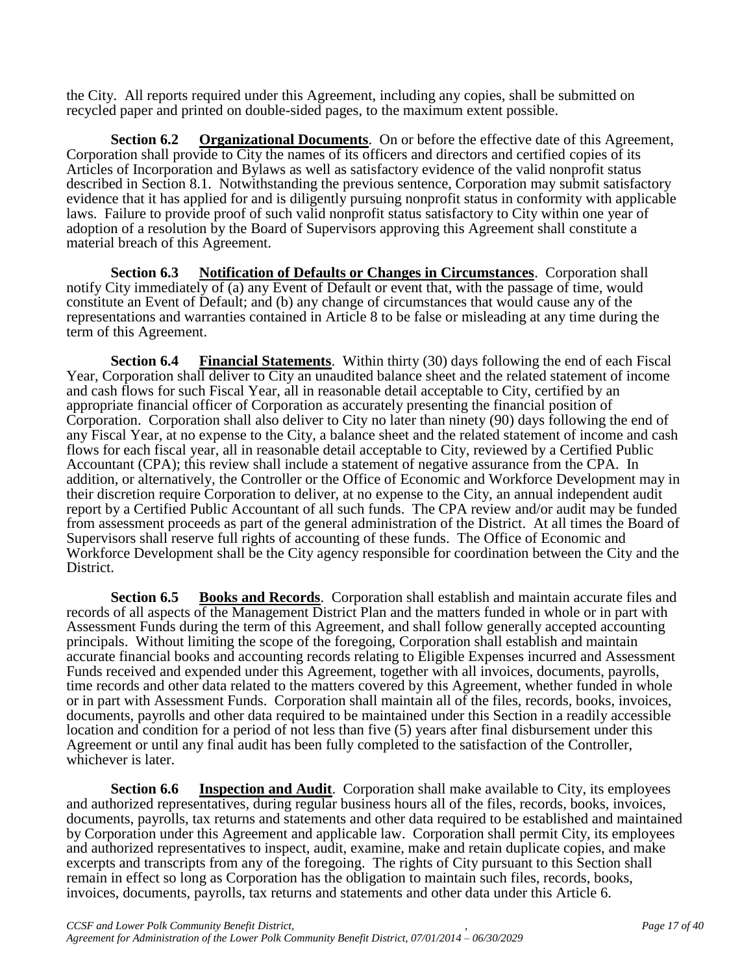the City. All reports required under this Agreement, including any copies, shall be submitted on recycled paper and printed on double-sided pages, to the maximum extent possible.

**Section 6.2 Organizational Documents**. On or before the effective date of this Agreement, Corporation shall provide to City the names of its officers and directors and certified copies of its Articles of Incorporation and Bylaws as well as satisfactory evidence of the valid nonprofit status described in Section 8.1. Notwithstanding the previous sentence, Corporation may submit satisfactory evidence that it has applied for and is diligently pursuing nonprofit status in conformity with applicable laws. Failure to provide proof of such valid nonprofit status satisfactory to City within one year of adoption of a resolution by the Board of Supervisors approving this Agreement shall constitute a material breach of this Agreement.

**Section 6.3 Notification of Defaults or Changes in Circumstances**. Corporation shall notify City immediately of (a) any Event of Default or event that, with the passage of time, would constitute an Event of Default; and (b) any change of circumstances that would cause any of the representations and warranties contained in Article 8 to be false or misleading at any time during the term of this Agreement.

**Section 6.4 Financial Statements**. Within thirty (30) days following the end of each Fiscal Year, Corporation shall deliver to City an unaudited balance sheet and the related statement of income and cash flows for such Fiscal Year, all in reasonable detail acceptable to City, certified by an appropriate financial officer of Corporation as accurately presenting the financial position of Corporation. Corporation shall also deliver to City no later than ninety (90) days following the end of any Fiscal Year, at no expense to the City, a balance sheet and the related statement of income and cash flows for each fiscal year, all in reasonable detail acceptable to City, reviewed by a Certified Public Accountant (CPA); this review shall include a statement of negative assurance from the CPA. In addition, or alternatively, the Controller or the Office of Economic and Workforce Development may in their discretion require Corporation to deliver, at no expense to the City, an annual independent audit report by a Certified Public Accountant of all such funds. The CPA review and/or audit may be funded from assessment proceeds as part of the general administration of the District. At all times the Board of Supervisors shall reserve full rights of accounting of these funds. The Office of Economic and Workforce Development shall be the City agency responsible for coordination between the City and the District.

**Section 6.5 Books and Records**. Corporation shall establish and maintain accurate files and records of all aspects of the Management District Plan and the matters funded in whole or in part with Assessment Funds during the term of this Agreement, and shall follow generally accepted accounting principals. Without limiting the scope of the foregoing, Corporation shall establish and maintain accurate financial books and accounting records relating to Eligible Expenses incurred and Assessment Funds received and expended under this Agreement, together with all invoices, documents, payrolls, time records and other data related to the matters covered by this Agreement, whether funded in whole or in part with Assessment Funds. Corporation shall maintain all of the files, records, books, invoices, documents, payrolls and other data required to be maintained under this Section in a readily accessible location and condition for a period of not less than five (5) years after final disbursement under this Agreement or until any final audit has been fully completed to the satisfaction of the Controller, whichever is later.

**Section 6.6 Inspection and Audit**. Corporation shall make available to City, its employees and authorized representatives, during regular business hours all of the files, records, books, invoices, documents, payrolls, tax returns and statements and other data required to be established and maintained by Corporation under this Agreement and applicable law. Corporation shall permit City, its employees and authorized representatives to inspect, audit, examine, make and retain duplicate copies, and make excerpts and transcripts from any of the foregoing. The rights of City pursuant to this Section shall remain in effect so long as Corporation has the obligation to maintain such files, records, books, invoices, documents, payrolls, tax returns and statements and other data under this Article 6.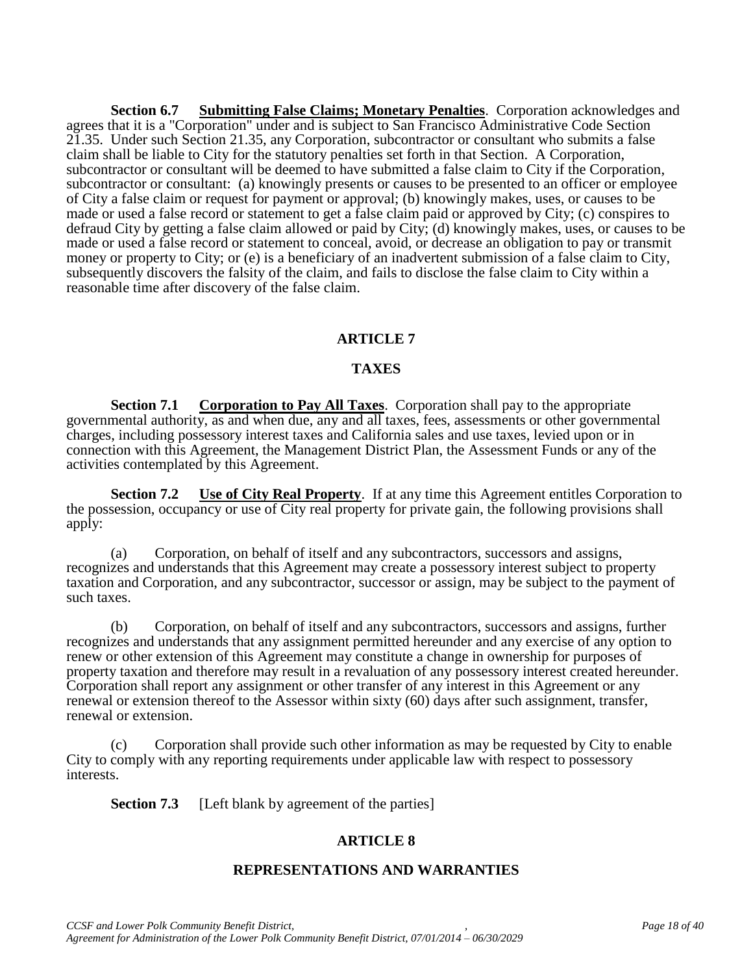**Section 6.7 Submitting False Claims; Monetary Penalties**. Corporation acknowledges and agrees that it is a "Corporation" under and is subject to San Francisco Administrative Code Section 21.35. Under such Section 21.35, any Corporation, subcontractor or consultant who submits a false claim shall be liable to City for the statutory penalties set forth in that Section. A Corporation, subcontractor or consultant will be deemed to have submitted a false claim to City if the Corporation, subcontractor or consultant: (a) knowingly presents or causes to be presented to an officer or employee of City a false claim or request for payment or approval; (b) knowingly makes, uses, or causes to be made or used a false record or statement to get a false claim paid or approved by City; (c) conspires to defraud City by getting a false claim allowed or paid by City; (d) knowingly makes, uses, or causes to be made or used a false record or statement to conceal, avoid, or decrease an obligation to pay or transmit money or property to City; or (e) is a beneficiary of an inadvertent submission of a false claim to City, subsequently discovers the falsity of the claim, and fails to disclose the false claim to City within a reasonable time after discovery of the false claim.

# **ARTICLE 7**

#### **TAXES**

**Section 7.1 Corporation to Pay All Taxes**. Corporation shall pay to the appropriate governmental authority, as and when due, any and all taxes, fees, assessments or other governmental charges, including possessory interest taxes and California sales and use taxes, levied upon or in connection with this Agreement, the Management District Plan, the Assessment Funds or any of the activities contemplated by this Agreement.

**Section 7.2 Use of City Real Property**. If at any time this Agreement entitles Corporation to the possession, occupancy or use of City real property for private gain, the following provisions shall apply:

(a) Corporation, on behalf of itself and any subcontractors, successors and assigns, recognizes and understands that this Agreement may create a possessory interest subject to property taxation and Corporation, and any subcontractor, successor or assign, may be subject to the payment of such taxes.

(b) Corporation, on behalf of itself and any subcontractors, successors and assigns, further recognizes and understands that any assignment permitted hereunder and any exercise of any option to renew or other extension of this Agreement may constitute a change in ownership for purposes of property taxation and therefore may result in a revaluation of any possessory interest created hereunder. Corporation shall report any assignment or other transfer of any interest in this Agreement or any renewal or extension thereof to the Assessor within sixty (60) days after such assignment, transfer, renewal or extension.

(c) Corporation shall provide such other information as may be requested by City to enable City to comply with any reporting requirements under applicable law with respect to possessory interests.

**Section 7.3** [Left blank by agreement of the parties]

#### **ARTICLE 8**

#### **REPRESENTATIONS AND WARRANTIES**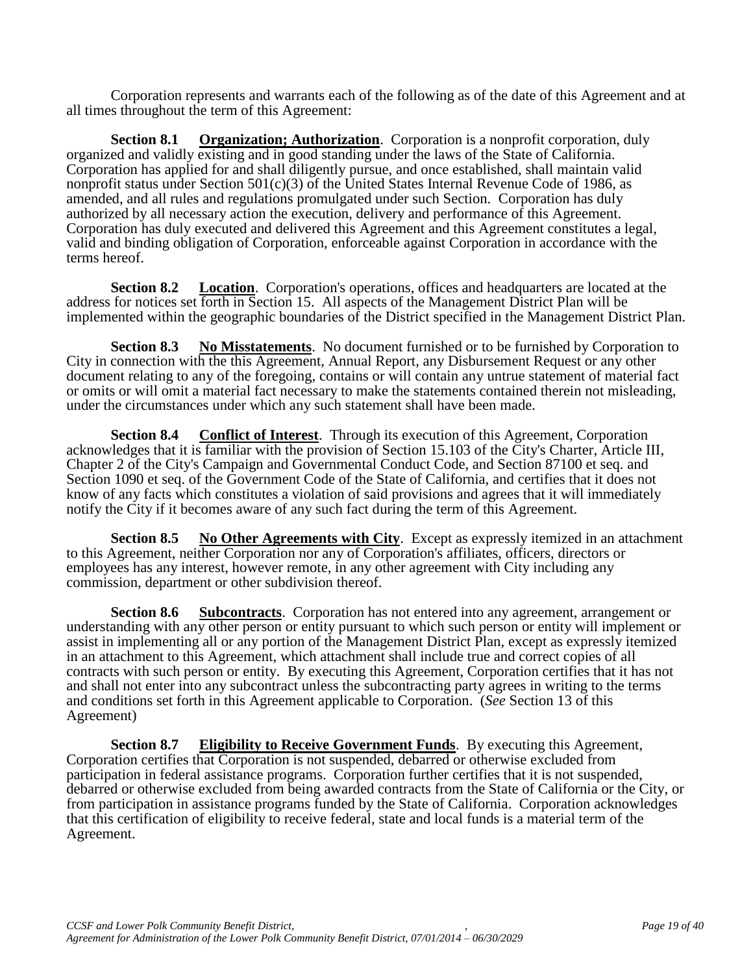Corporation represents and warrants each of the following as of the date of this Agreement and at all times throughout the term of this Agreement:

**Section 8.1 Organization; Authorization**. Corporation is a nonprofit corporation, duly organized and validly existing and in good standing under the laws of the State of California. Corporation has applied for and shall diligently pursue, and once established, shall maintain valid nonprofit status under Section  $501(c)(3)$  of the United States Internal Revenue Code of 1986, as amended, and all rules and regulations promulgated under such Section. Corporation has duly authorized by all necessary action the execution, delivery and performance of this Agreement. Corporation has duly executed and delivered this Agreement and this Agreement constitutes a legal, valid and binding obligation of Corporation, enforceable against Corporation in accordance with the terms hereof.

**Section 8.2 Location**. Corporation's operations, offices and headquarters are located at the address for notices set forth in Section 15. All aspects of the Management District Plan will be implemented within the geographic boundaries of the District specified in the Management District Plan.

**Section 8.3 No Misstatements**. No document furnished or to be furnished by Corporation to City in connection with the this Agreement, Annual Report, any Disbursement Request or any other document relating to any of the foregoing, contains or will contain any untrue statement of material fact or omits or will omit a material fact necessary to make the statements contained therein not misleading, under the circumstances under which any such statement shall have been made.

**Section 8.4** Conflict of Interest. Through its execution of this Agreement, Corporation acknowledges that it is familiar with the provision of Section 15.103 of the City's Charter, Article III, Chapter 2 of the City's Campaign and Governmental Conduct Code, and Section 87100 et seq. and Section 1090 et seq. of the Government Code of the State of California, and certifies that it does not know of any facts which constitutes a violation of said provisions and agrees that it will immediately notify the City if it becomes aware of any such fact during the term of this Agreement.

**Section 8.5 No Other Agreements with City**. Except as expressly itemized in an attachment to this Agreement, neither Corporation nor any of Corporation's affiliates, officers, directors or employees has any interest, however remote, in any other agreement with City including any commission, department or other subdivision thereof.

**Section 8.6 Subcontracts**. Corporation has not entered into any agreement, arrangement or understanding with any other person or entity pursuant to which such person or entity will implement or assist in implementing all or any portion of the Management District Plan, except as expressly itemized in an attachment to this Agreement, which attachment shall include true and correct copies of all contracts with such person or entity. By executing this Agreement, Corporation certifies that it has not and shall not enter into any subcontract unless the subcontracting party agrees in writing to the terms and conditions set forth in this Agreement applicable to Corporation. (*See* Section 13 of this Agreement)

**Section 8.7 Eligibility to Receive Government Funds**. By executing this Agreement, Corporation certifies that Corporation is not suspended, debarred or otherwise excluded from participation in federal assistance programs. Corporation further certifies that it is not suspended, debarred or otherwise excluded from being awarded contracts from the State of California or the City, or from participation in assistance programs funded by the State of California. Corporation acknowledges that this certification of eligibility to receive federal, state and local funds is a material term of the Agreement.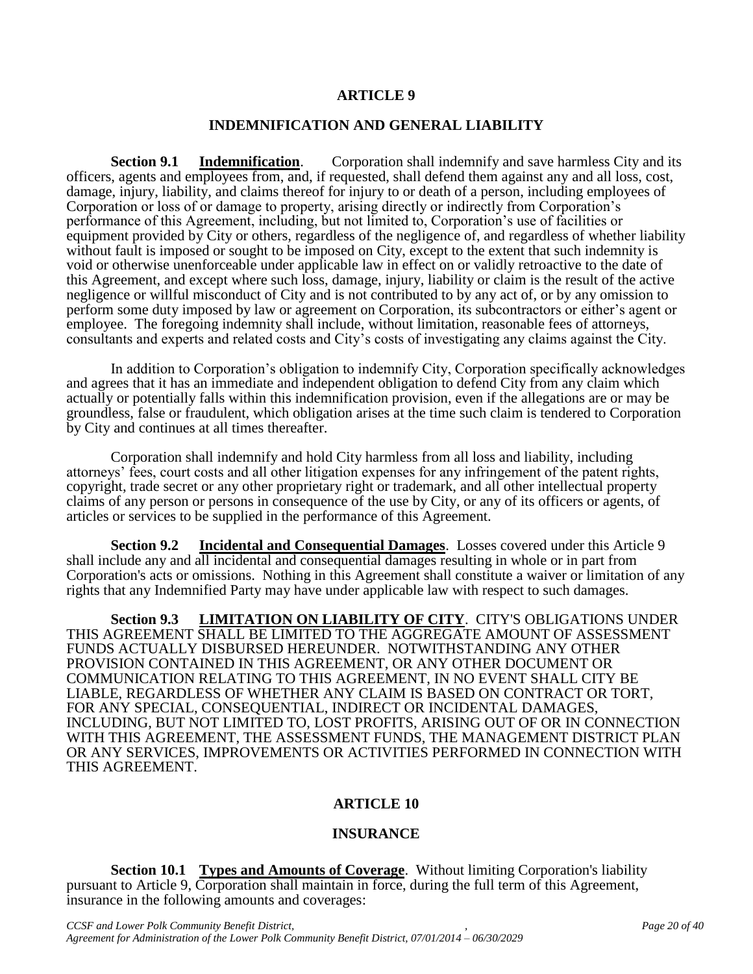#### **ARTICLE 9**

#### **INDEMNIFICATION AND GENERAL LIABILITY**

**Section 9.1 Indemnification.** Corporation shall indemnify and save harmless City and its officers, agents and employees from, and, if requested, shall defend them against any and all loss, cost, damage, injury, liability, and claims thereof for injury to or death of a person, including employees of Corporation or loss of or damage to property, arising directly or indirectly from Corporation's performance of this Agreement, including, but not limited to, Corporation's use of facilities or equipment provided by City or others, regardless of the negligence of, and regardless of whether liability without fault is imposed or sought to be imposed on City, except to the extent that such indemnity is void or otherwise unenforceable under applicable law in effect on or validly retroactive to the date of this Agreement, and except where such loss, damage, injury, liability or claim is the result of the active negligence or willful misconduct of City and is not contributed to by any act of, or by any omission to perform some duty imposed by law or agreement on Corporation, its subcontractors or either's agent or employee. The foregoing indemnity shall include, without limitation, reasonable fees of attorneys, consultants and experts and related costs and City's costs of investigating any claims against the City.

In addition to Corporation's obligation to indemnify City, Corporation specifically acknowledges and agrees that it has an immediate and independent obligation to defend City from any claim which actually or potentially falls within this indemnification provision, even if the allegations are or may be groundless, false or fraudulent, which obligation arises at the time such claim is tendered to Corporation by City and continues at all times thereafter.

Corporation shall indemnify and hold City harmless from all loss and liability, including attorneys' fees, court costs and all other litigation expenses for any infringement of the patent rights, copyright, trade secret or any other proprietary right or trademark, and all other intellectual property claims of any person or persons in consequence of the use by City, or any of its officers or agents, of articles or services to be supplied in the performance of this Agreement.

**Section 9.2 Incidental and Consequential Damages**. Losses covered under this Article 9 shall include any and all incidental and consequential damages resulting in whole or in part from Corporation's acts or omissions. Nothing in this Agreement shall constitute a waiver or limitation of any rights that any Indemnified Party may have under applicable law with respect to such damages.

**Section 9.3 LIMITATION ON LIABILITY OF CITY**. CITY'S OBLIGATIONS UNDER THIS AGREEMENT SHALL BE LIMITED TO THE AGGREGATE AMOUNT OF ASSESSMENT FUNDS ACTUALLY DISBURSED HEREUNDER. NOTWITHSTANDING ANY OTHER PROVISION CONTAINED IN THIS AGREEMENT, OR ANY OTHER DOCUMENT OR COMMUNICATION RELATING TO THIS AGREEMENT, IN NO EVENT SHALL CITY BE LIABLE, REGARDLESS OF WHETHER ANY CLAIM IS BASED ON CONTRACT OR TORT, FOR ANY SPECIAL, CONSEQUENTIAL, INDIRECT OR INCIDENTAL DAMAGES, INCLUDING, BUT NOT LIMITED TO, LOST PROFITS, ARISING OUT OF OR IN CONNECTION WITH THIS AGREEMENT, THE ASSESSMENT FUNDS, THE MANAGEMENT DISTRICT PLAN OR ANY SERVICES, IMPROVEMENTS OR ACTIVITIES PERFORMED IN CONNECTION WITH THIS AGREEMENT.

#### **ARTICLE 10**

#### **INSURANCE**

**Section 10.1 Types and Amounts of Coverage**. Without limiting Corporation's liability pursuant to Article 9, Corporation shall maintain in force, during the full term of this Agreement, insurance in the following amounts and coverages: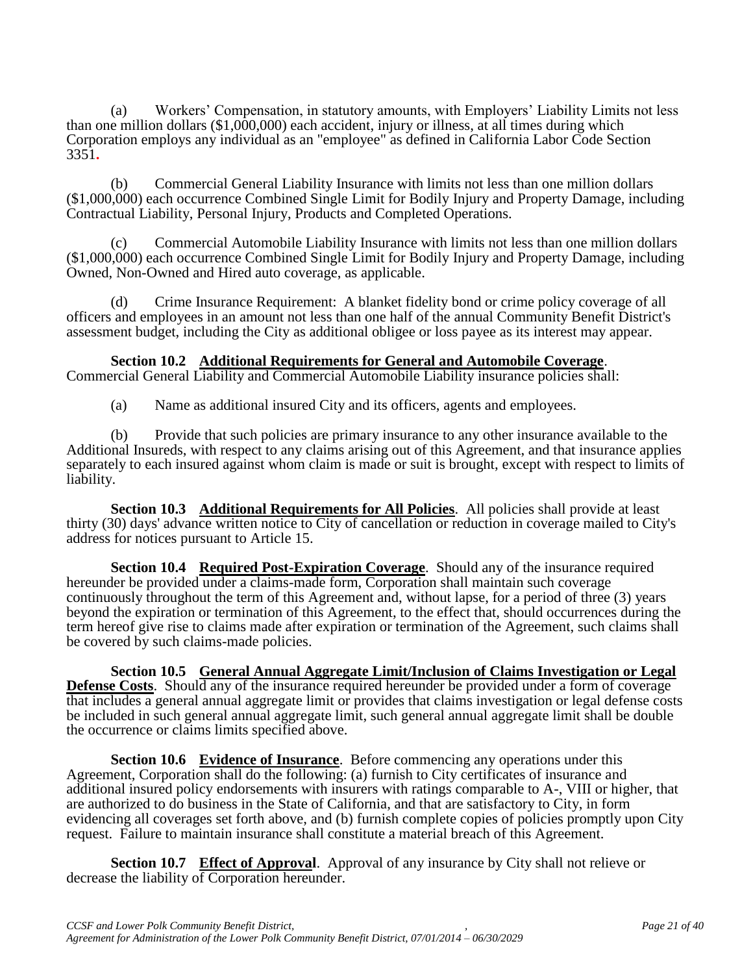(a) Workers' Compensation, in statutory amounts, with Employers' Liability Limits not less than one million dollars (\$1,000,000) each accident, injury or illness, at all times during which Corporation employs any individual as an "employee" as defined in California Labor Code Section 3351**.**

(b) Commercial General Liability Insurance with limits not less than one million dollars (\$1,000,000) each occurrence Combined Single Limit for Bodily Injury and Property Damage, including Contractual Liability, Personal Injury, Products and Completed Operations.

(c) Commercial Automobile Liability Insurance with limits not less than one million dollars (\$1,000,000) each occurrence Combined Single Limit for Bodily Injury and Property Damage, including Owned, Non-Owned and Hired auto coverage, as applicable.

(d) Crime Insurance Requirement: A blanket fidelity bond or crime policy coverage of all officers and employees in an amount not less than one half of the annual Community Benefit District's assessment budget, including the City as additional obligee or loss payee as its interest may appear.

**Section 10.2 Additional Requirements for General and Automobile Coverage**. Commercial General Liability and Commercial Automobile Liability insurance policies shall:

(a) Name as additional insured City and its officers, agents and employees.

(b) Provide that such policies are primary insurance to any other insurance available to the Additional Insureds, with respect to any claims arising out of this Agreement, and that insurance applies separately to each insured against whom claim is made or suit is brought, except with respect to limits of liability.

**Section 10.3 Additional Requirements for All Policies**. All policies shall provide at least thirty (30) days' advance written notice to City of cancellation or reduction in coverage mailed to City's address for notices pursuant to Article 15.

**Section 10.4 Required Post-Expiration Coverage**. Should any of the insurance required hereunder be provided under a claims-made form, Corporation shall maintain such coverage continuously throughout the term of this Agreement and, without lapse, for a period of three (3) years beyond the expiration or termination of this Agreement, to the effect that, should occurrences during the term hereof give rise to claims made after expiration or termination of the Agreement, such claims shall be covered by such claims-made policies.

**Section 10.5 General Annual Aggregate Limit/Inclusion of Claims Investigation or Legal Defense Costs**. Should any of the insurance required hereunder be provided under a form of coverage that includes a general annual aggregate limit or provides that claims investigation or legal defense costs be included in such general annual aggregate limit, such general annual aggregate limit shall be double the occurrence or claims limits specified above.

**Section 10.6 Evidence of Insurance**. Before commencing any operations under this Agreement, Corporation shall do the following: (a) furnish to City certificates of insurance and additional insured policy endorsements with insurers with ratings comparable to A-, VIII or higher, that are authorized to do business in the State of California, and that are satisfactory to City, in form evidencing all coverages set forth above, and (b) furnish complete copies of policies promptly upon City request. Failure to maintain insurance shall constitute a material breach of this Agreement.

**Section 10.7 Effect of Approval**. Approval of any insurance by City shall not relieve or decrease the liability of Corporation hereunder.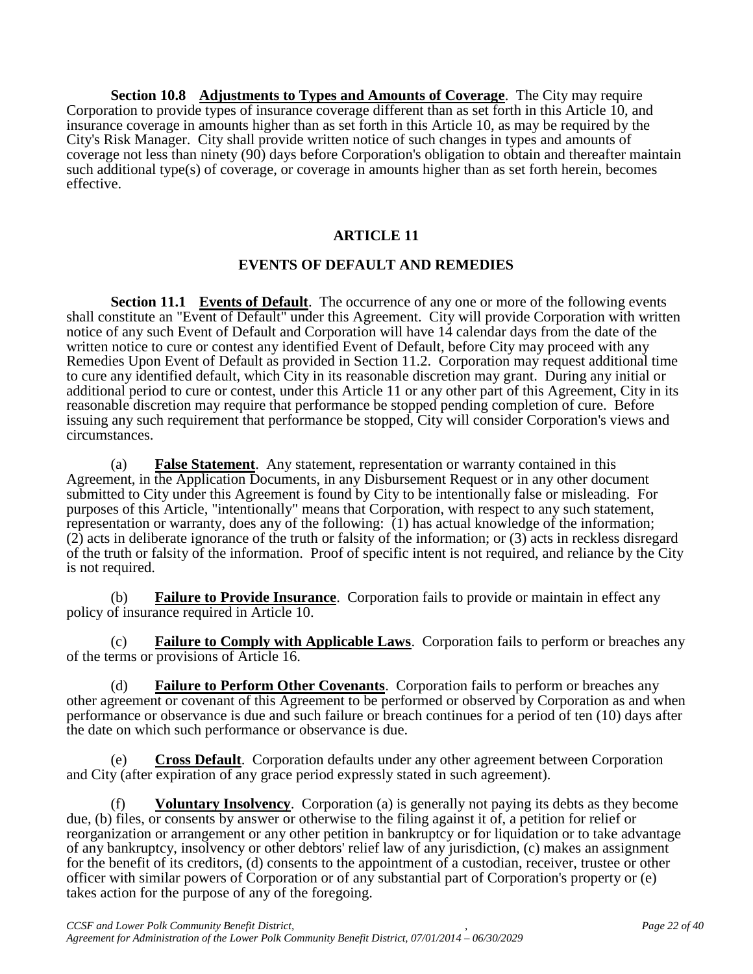**Section 10.8 Adjustments to Types and Amounts of Coverage**. The City may require Corporation to provide types of insurance coverage different than as set forth in this Article 10, and insurance coverage in amounts higher than as set forth in this Article 10, as may be required by the City's Risk Manager. City shall provide written notice of such changes in types and amounts of coverage not less than ninety (90) days before Corporation's obligation to obtain and thereafter maintain such additional type(s) of coverage, or coverage in amounts higher than as set forth herein, becomes effective.

# **ARTICLE 11**

# **EVENTS OF DEFAULT AND REMEDIES**

**Section 11.1 Events of Default**. The occurrence of any one or more of the following events shall constitute an "Event of Default" under this Agreement. City will provide Corporation with written notice of any such Event of Default and Corporation will have 14 calendar days from the date of the written notice to cure or contest any identified Event of Default, before City may proceed with any Remedies Upon Event of Default as provided in Section 11.2. Corporation may request additional time to cure any identified default, which City in its reasonable discretion may grant. During any initial or additional period to cure or contest, under this Article 11 or any other part of this Agreement, City in its reasonable discretion may require that performance be stopped pending completion of cure. Before issuing any such requirement that performance be stopped, City will consider Corporation's views and circumstances.

(a) **False Statement**. Any statement, representation or warranty contained in this Agreement, in the Application Documents, in any Disbursement Request or in any other document submitted to City under this Agreement is found by City to be intentionally false or misleading. For purposes of this Article, "intentionally" means that Corporation, with respect to any such statement, representation or warranty, does any of the following: (1) has actual knowledge of the information; (2) acts in deliberate ignorance of the truth or falsity of the information; or (3) acts in reckless disregard of the truth or falsity of the information. Proof of specific intent is not required, and reliance by the City is not required.

(b) **Failure to Provide Insurance**. Corporation fails to provide or maintain in effect any policy of insurance required in Article 10.

(c) **Failure to Comply with Applicable Laws**. Corporation fails to perform or breaches any of the terms or provisions of Article 16.

(d) **Failure to Perform Other Covenants**. Corporation fails to perform or breaches any other agreement or covenant of this Agreement to be performed or observed by Corporation as and when performance or observance is due and such failure or breach continues for a period of ten (10) days after the date on which such performance or observance is due.

(e) **Cross Default**. Corporation defaults under any other agreement between Corporation and City (after expiration of any grace period expressly stated in such agreement).

(f) **Voluntary Insolvency**. Corporation (a) is generally not paying its debts as they become due, (b) files, or consents by answer or otherwise to the filing against it of, a petition for relief or reorganization or arrangement or any other petition in bankruptcy or for liquidation or to take advantage of any bankruptcy, insolvency or other debtors' relief law of any jurisdiction, (c) makes an assignment for the benefit of its creditors, (d) consents to the appointment of a custodian, receiver, trustee or other officer with similar powers of Corporation or of any substantial part of Corporation's property or (e) takes action for the purpose of any of the foregoing.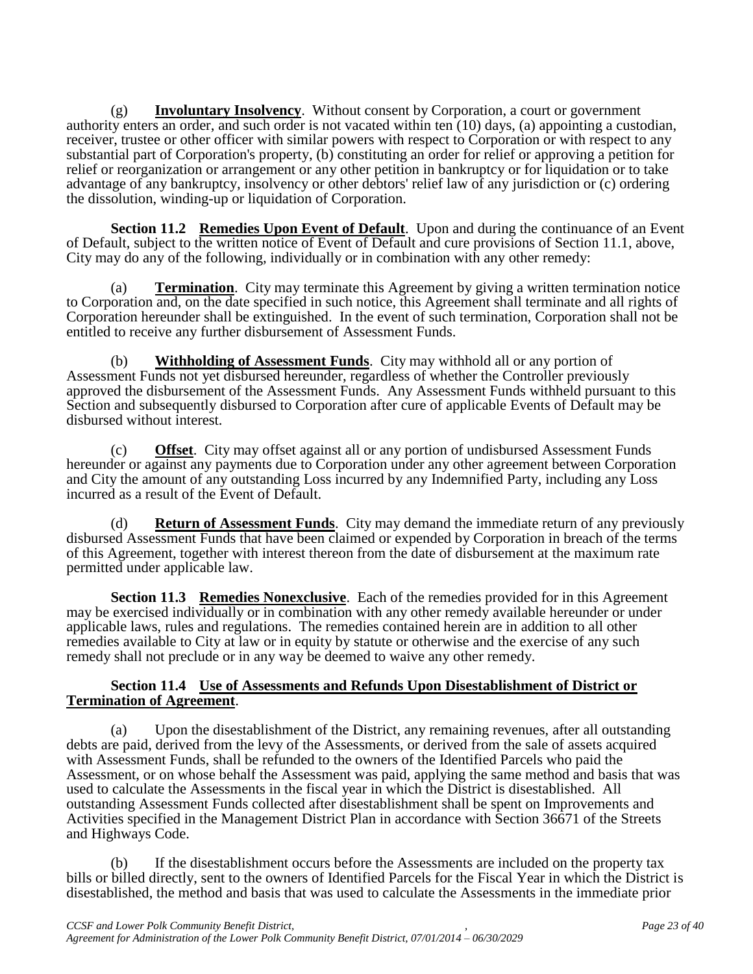(g) **Involuntary Insolvency**. Without consent by Corporation, a court or government authority enters an order, and such order is not vacated within ten (10) days, (a) appointing a custodian, receiver, trustee or other officer with similar powers with respect to Corporation or with respect to any substantial part of Corporation's property, (b) constituting an order for relief or approving a petition for relief or reorganization or arrangement or any other petition in bankruptcy or for liquidation or to take advantage of any bankruptcy, insolvency or other debtors' relief law of any jurisdiction or (c) ordering the dissolution, winding-up or liquidation of Corporation.

**Section 11.2 Remedies Upon Event of Default**. Upon and during the continuance of an Event of Default, subject to the written notice of Event of Default and cure provisions of Section 11.1, above, City may do any of the following, individually or in combination with any other remedy:

(a) **Termination**. City may terminate this Agreement by giving a written termination notice to Corporation and, on the date specified in such notice, this Agreement shall terminate and all rights of Corporation hereunder shall be extinguished. In the event of such termination, Corporation shall not be entitled to receive any further disbursement of Assessment Funds.

(b) **Withholding of Assessment Funds**. City may withhold all or any portion of Assessment Funds not yet disbursed hereunder, regardless of whether the Controller previously approved the disbursement of the Assessment Funds. Any Assessment Funds withheld pursuant to this Section and subsequently disbursed to Corporation after cure of applicable Events of Default may be disbursed without interest.

(c) **Offset**. City may offset against all or any portion of undisbursed Assessment Funds hereunder or against any payments due to Corporation under any other agreement between Corporation and City the amount of any outstanding Loss incurred by any Indemnified Party, including any Loss incurred as a result of the Event of Default.

(d) **Return of Assessment Funds**. City may demand the immediate return of any previously disbursed Assessment Funds that have been claimed or expended by Corporation in breach of the terms of this Agreement, together with interest thereon from the date of disbursement at the maximum rate permitted under applicable law.

**Section 11.3 Remedies Nonexclusive**. Each of the remedies provided for in this Agreement may be exercised individually or in combination with any other remedy available hereunder or under applicable laws, rules and regulations. The remedies contained herein are in addition to all other remedies available to City at law or in equity by statute or otherwise and the exercise of any such remedy shall not preclude or in any way be deemed to waive any other remedy.

#### **Section 11.4 Use of Assessments and Refunds Upon Disestablishment of District or Termination of Agreement**.

(a) Upon the disestablishment of the District, any remaining revenues, after all outstanding debts are paid, derived from the levy of the Assessments, or derived from the sale of assets acquired with Assessment Funds, shall be refunded to the owners of the Identified Parcels who paid the Assessment, or on whose behalf the Assessment was paid, applying the same method and basis that was used to calculate the Assessments in the fiscal year in which the District is disestablished. All outstanding Assessment Funds collected after disestablishment shall be spent on Improvements and Activities specified in the Management District Plan in accordance with Section 36671 of the Streets and Highways Code.

(b) If the disestablishment occurs before the Assessments are included on the property tax bills or billed directly, sent to the owners of Identified Parcels for the Fiscal Year in which the District is disestablished, the method and basis that was used to calculate the Assessments in the immediate prior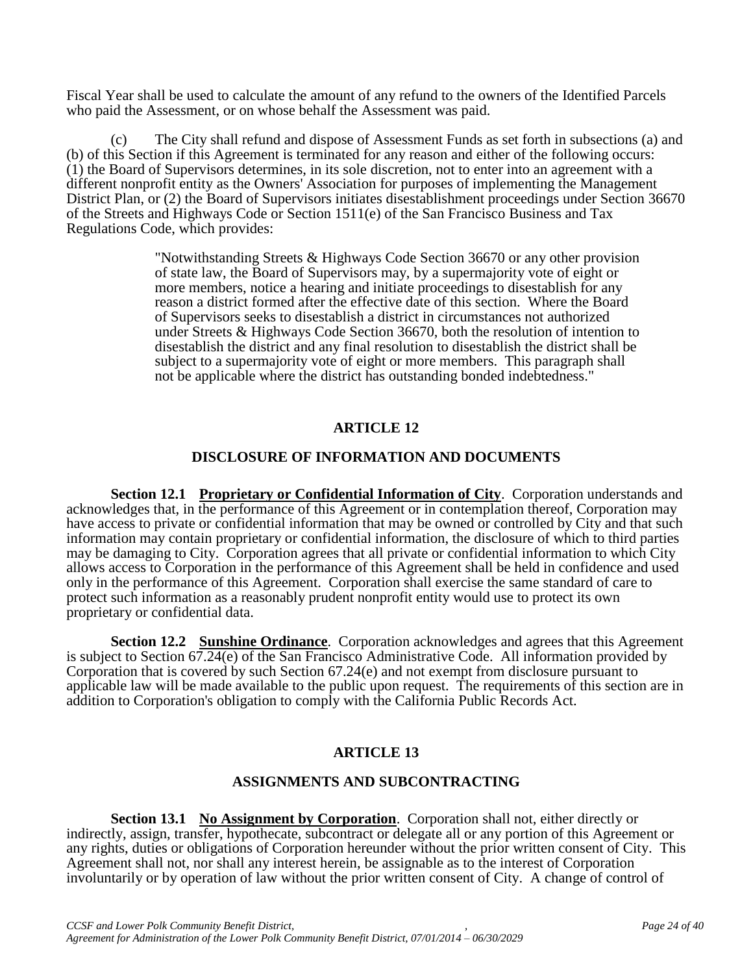Fiscal Year shall be used to calculate the amount of any refund to the owners of the Identified Parcels who paid the Assessment, or on whose behalf the Assessment was paid.

(c) The City shall refund and dispose of Assessment Funds as set forth in subsections (a) and (b) of this Section if this Agreement is terminated for any reason and either of the following occurs: (1) the Board of Supervisors determines, in its sole discretion, not to enter into an agreement with a different nonprofit entity as the Owners' Association for purposes of implementing the Management District Plan, or (2) the Board of Supervisors initiates disestablishment proceedings under Section 36670 of the Streets and Highways Code or Section 1511(e) of the San Francisco Business and Tax Regulations Code, which provides:

> "Notwithstanding Streets & Highways Code Section 36670 or any other provision of state law, the Board of Supervisors may, by a supermajority vote of eight or more members, notice a hearing and initiate proceedings to disestablish for any reason a district formed after the effective date of this section. Where the Board of Supervisors seeks to disestablish a district in circumstances not authorized under Streets & Highways Code Section 36670, both the resolution of intention to disestablish the district and any final resolution to disestablish the district shall be subject to a supermajority vote of eight or more members. This paragraph shall not be applicable where the district has outstanding bonded indebtedness."

# **ARTICLE 12**

# **DISCLOSURE OF INFORMATION AND DOCUMENTS**

**Section 12.1 Proprietary or Confidential Information of City**. Corporation understands and acknowledges that, in the performance of this Agreement or in contemplation thereof, Corporation may have access to private or confidential information that may be owned or controlled by City and that such information may contain proprietary or confidential information, the disclosure of which to third parties may be damaging to City. Corporation agrees that all private or confidential information to which City allows access to Corporation in the performance of this Agreement shall be held in confidence and used only in the performance of this Agreement. Corporation shall exercise the same standard of care to protect such information as a reasonably prudent nonprofit entity would use to protect its own proprietary or confidential data.

**Section 12.2 Sunshine Ordinance**. Corporation acknowledges and agrees that this Agreement is subject to Section 67.24(e) of the San Francisco Administrative Code. All information provided by Corporation that is covered by such Section 67.24(e) and not exempt from disclosure pursuant to applicable law will be made available to the public upon request. The requirements of this section are in addition to Corporation's obligation to comply with the California Public Records Act.

# **ARTICLE 13**

# **ASSIGNMENTS AND SUBCONTRACTING**

**Section 13.1 No Assignment by Corporation**. Corporation shall not, either directly or indirectly, assign, transfer, hypothecate, subcontract or delegate all or any portion of this Agreement or any rights, duties or obligations of Corporation hereunder without the prior written consent of City. This Agreement shall not, nor shall any interest herein, be assignable as to the interest of Corporation involuntarily or by operation of law without the prior written consent of City. A change of control of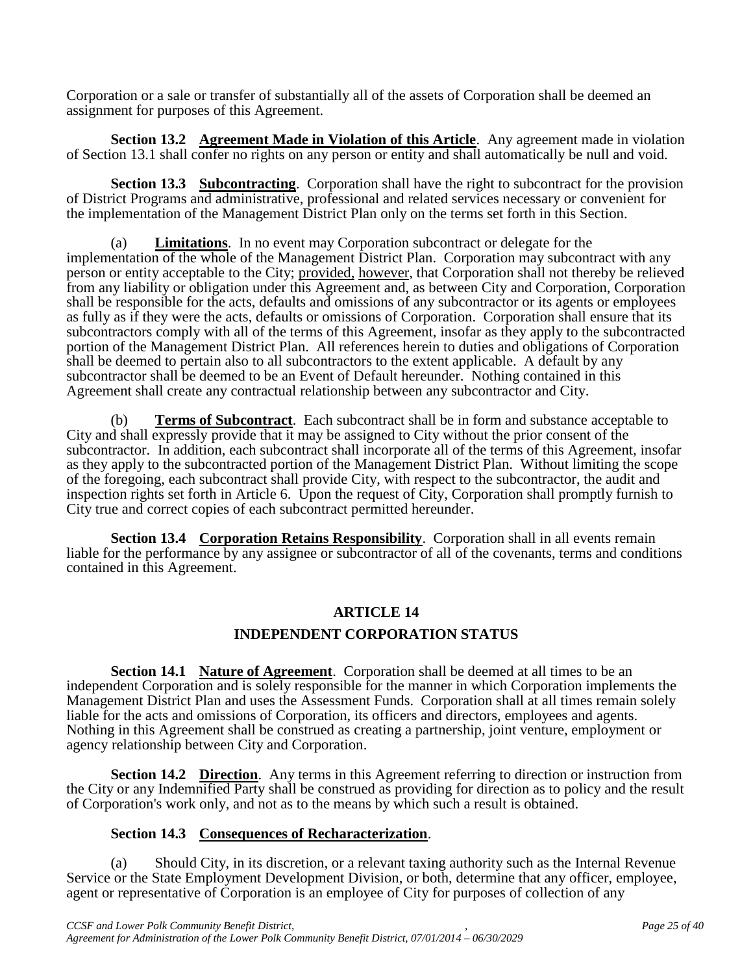Corporation or a sale or transfer of substantially all of the assets of Corporation shall be deemed an assignment for purposes of this Agreement.

**Section 13.2 Agreement Made in Violation of this Article**. Any agreement made in violation of Section 13.1 shall confer no rights on any person or entity and shall automatically be null and void.

**Section 13.3 Subcontracting**. Corporation shall have the right to subcontract for the provision of District Programs and administrative, professional and related services necessary or convenient for the implementation of the Management District Plan only on the terms set forth in this Section.

(a) **Limitations**. In no event may Corporation subcontract or delegate for the implementation of the whole of the Management District Plan. Corporation may subcontract with any person or entity acceptable to the City; provided, however, that Corporation shall not thereby be relieved from any liability or obligation under this Agreement and, as between City and Corporation, Corporation shall be responsible for the acts, defaults and omissions of any subcontractor or its agents or employees as fully as if they were the acts, defaults or omissions of Corporation. Corporation shall ensure that its subcontractors comply with all of the terms of this Agreement, insofar as they apply to the subcontracted portion of the Management District Plan. All references herein to duties and obligations of Corporation shall be deemed to pertain also to all subcontractors to the extent applicable. A default by any subcontractor shall be deemed to be an Event of Default hereunder. Nothing contained in this Agreement shall create any contractual relationship between any subcontractor and City.

(b) **Terms of Subcontract**. Each subcontract shall be in form and substance acceptable to City and shall expressly provide that it may be assigned to City without the prior consent of the subcontractor. In addition, each subcontract shall incorporate all of the terms of this Agreement, insofar as they apply to the subcontracted portion of the Management District Plan. Without limiting the scope of the foregoing, each subcontract shall provide City, with respect to the subcontractor, the audit and inspection rights set forth in Article 6. Upon the request of City, Corporation shall promptly furnish to City true and correct copies of each subcontract permitted hereunder.

**Section 13.4 Corporation Retains Responsibility**. Corporation shall in all events remain liable for the performance by any assignee or subcontractor of all of the covenants, terms and conditions contained in this Agreement.

# **ARTICLE 14**

# **INDEPENDENT CORPORATION STATUS**

**Section 14.1 Nature of Agreement**. Corporation shall be deemed at all times to be an independent Corporation and is solely responsible for the manner in which Corporation implements the Management District Plan and uses the Assessment Funds. Corporation shall at all times remain solely liable for the acts and omissions of Corporation, its officers and directors, employees and agents. Nothing in this Agreement shall be construed as creating a partnership, joint venture, employment or agency relationship between City and Corporation.

**Section 14.2 Direction.** Any terms in this Agreement referring to direction or instruction from the City or any Indemnified Party shall be construed as providing for direction as to policy and the result of Corporation's work only, and not as to the means by which such a result is obtained.

#### **Section 14.3 Consequences of Recharacterization**.

(a) Should City, in its discretion, or a relevant taxing authority such as the Internal Revenue Service or the State Employment Development Division, or both, determine that any officer, employee, agent or representative of Corporation is an employee of City for purposes of collection of any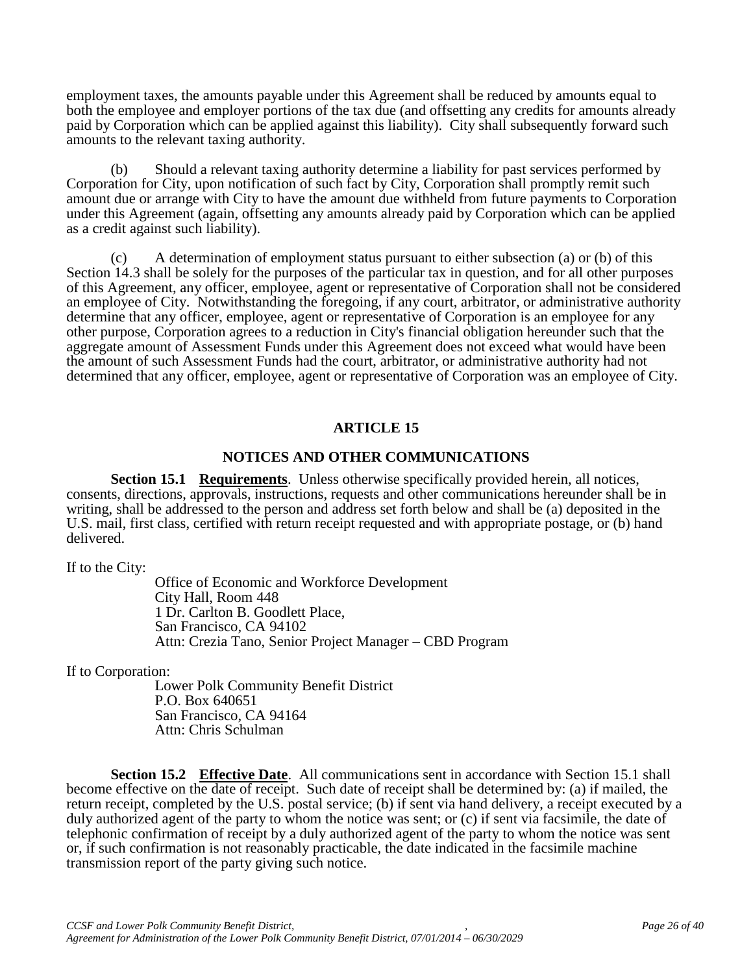employment taxes, the amounts payable under this Agreement shall be reduced by amounts equal to both the employee and employer portions of the tax due (and offsetting any credits for amounts already paid by Corporation which can be applied against this liability). City shall subsequently forward such amounts to the relevant taxing authority.

(b) Should a relevant taxing authority determine a liability for past services performed by Corporation for City, upon notification of such fact by City, Corporation shall promptly remit such amount due or arrange with City to have the amount due withheld from future payments to Corporation under this Agreement (again, offsetting any amounts already paid by Corporation which can be applied as a credit against such liability).

(c) A determination of employment status pursuant to either subsection (a) or (b) of this Section 14.3 shall be solely for the purposes of the particular tax in question, and for all other purposes of this Agreement, any officer, employee, agent or representative of Corporation shall not be considered an employee of City. Notwithstanding the foregoing, if any court, arbitrator, or administrative authority determine that any officer, employee, agent or representative of Corporation is an employee for any other purpose, Corporation agrees to a reduction in City's financial obligation hereunder such that the aggregate amount of Assessment Funds under this Agreement does not exceed what would have been the amount of such Assessment Funds had the court, arbitrator, or administrative authority had not determined that any officer, employee, agent or representative of Corporation was an employee of City.

# **ARTICLE 15**

#### **NOTICES AND OTHER COMMUNICATIONS**

**Section 15.1 Requirements**. Unless otherwise specifically provided herein, all notices, consents, directions, approvals, instructions, requests and other communications hereunder shall be in writing, shall be addressed to the person and address set forth below and shall be (a) deposited in the U.S. mail, first class, certified with return receipt requested and with appropriate postage, or (b) hand delivered.

If to the City:

Office of Economic and Workforce Development City Hall, Room 448 1 Dr. Carlton B. Goodlett Place, San Francisco, CA 94102 Attn: Crezia Tano, Senior Project Manager – CBD Program

If to Corporation:

Lower Polk Community Benefit District P.O. Box 640651 San Francisco, CA 94164 Attn: Chris Schulman

**Section 15.2 Effective Date**. All communications sent in accordance with Section 15.1 shall become effective on the date of receipt. Such date of receipt shall be determined by: (a) if mailed, the return receipt, completed by the U.S. postal service; (b) if sent via hand delivery, a receipt executed by a duly authorized agent of the party to whom the notice was sent; or (c) if sent via facsimile, the date of telephonic confirmation of receipt by a duly authorized agent of the party to whom the notice was sent or, if such confirmation is not reasonably practicable, the date indicated in the facsimile machine transmission report of the party giving such notice.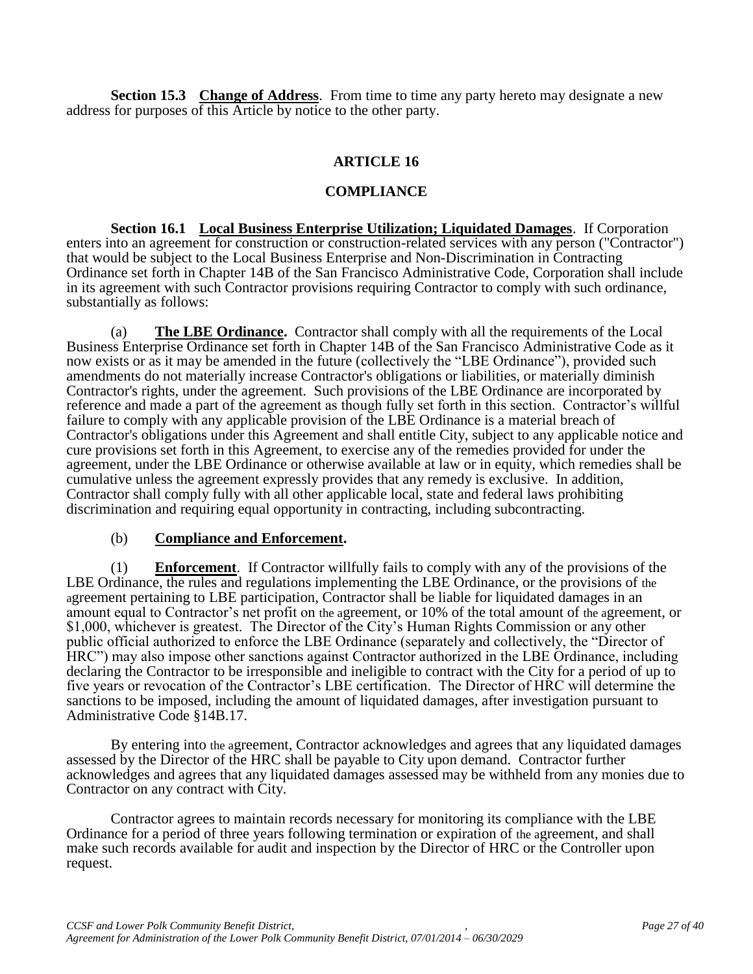**Section 15.3 Change of Address**. From time to time any party hereto may designate a new address for purposes of this Article by notice to the other party.

# **ARTICLE 16**

## **COMPLIANCE**

**Section 16.1 Local Business Enterprise Utilization; Liquidated Damages**. If Corporation enters into an agreement for construction or construction-related services with any person ("Contractor") that would be subject to the Local Business Enterprise and Non-Discrimination in Contracting Ordinance set forth in Chapter 14B of the San Francisco Administrative Code, Corporation shall include in its agreement with such Contractor provisions requiring Contractor to comply with such ordinance, substantially as follows:

(a) **The LBE Ordinance.** Contractor shall comply with all the requirements of the Local Business Enterprise Ordinance set forth in Chapter 14B of the San Francisco Administrative Code as it now exists or as it may be amended in the future (collectively the "LBE Ordinance"), provided such amendments do not materially increase Contractor's obligations or liabilities, or materially diminish Contractor's rights, under the agreement. Such provisions of the LBE Ordinance are incorporated by reference and made a part of the agreement as though fully set forth in this section. Contractor's willful failure to comply with any applicable provision of the LBE Ordinance is a material breach of Contractor's obligations under this Agreement and shall entitle City, subject to any applicable notice and cure provisions set forth in this Agreement, to exercise any of the remedies provided for under the agreement, under the LBE Ordinance or otherwise available at law or in equity, which remedies shall be cumulative unless the agreement expressly provides that any remedy is exclusive. In addition, Contractor shall comply fully with all other applicable local, state and federal laws prohibiting discrimination and requiring equal opportunity in contracting, including subcontracting.

#### (b) **Compliance and Enforcement.**

(1) **Enforcement**. If Contractor willfully fails to comply with any of the provisions of the LBE Ordinance, the rules and regulations implementing the LBE Ordinance, or the provisions of the agreement pertaining to LBE participation, Contractor shall be liable for liquidated damages in an amount equal to Contractor's net profit on the agreement, or 10% of the total amount of the agreement, or \$1,000, whichever is greatest. The Director of the City's Human Rights Commission or any other public official authorized to enforce the LBE Ordinance (separately and collectively, the "Director of HRC") may also impose other sanctions against Contractor authorized in the LBE Ordinance, including declaring the Contractor to be irresponsible and ineligible to contract with the City for a period of up to five years or revocation of the Contractor's LBE certification. The Director of HRC will determine the sanctions to be imposed, including the amount of liquidated damages, after investigation pursuant to Administrative Code §14B.17.

By entering into the agreement, Contractor acknowledges and agrees that any liquidated damages assessed by the Director of the HRC shall be payable to City upon demand. Contractor further acknowledges and agrees that any liquidated damages assessed may be withheld from any monies due to Contractor on any contract with City.

Contractor agrees to maintain records necessary for monitoring its compliance with the LBE Ordinance for a period of three years following termination or expiration of the agreement, and shall make such records available for audit and inspection by the Director of HRC or the Controller upon request.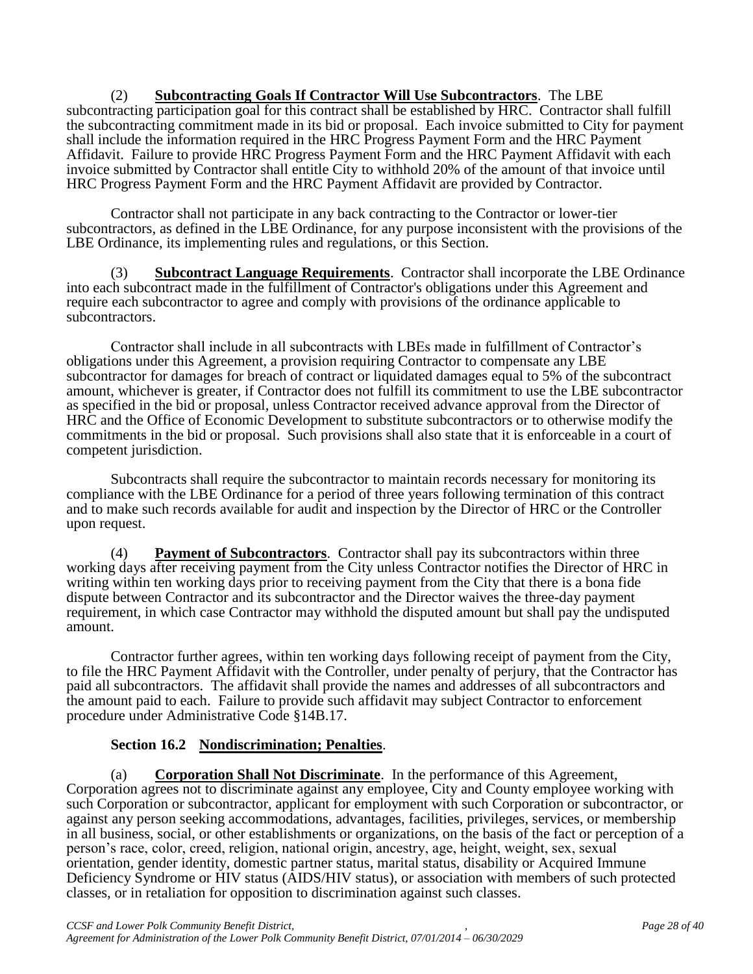#### (2) **Subcontracting Goals If Contractor Will Use Subcontractors**. The LBE subcontracting participation goal for this contract shall be established by HRC. Contractor shall fulfill the subcontracting commitment made in its bid or proposal. Each invoice submitted to City for payment shall include the information required in the HRC Progress Payment Form and the HRC Payment Affidavit. Failure to provide HRC Progress Payment Form and the HRC Payment Affidavit with each invoice submitted by Contractor shall entitle City to withhold 20% of the amount of that invoice until HRC Progress Payment Form and the HRC Payment Affidavit are provided by Contractor.

Contractor shall not participate in any back contracting to the Contractor or lower-tier subcontractors, as defined in the LBE Ordinance, for any purpose inconsistent with the provisions of the LBE Ordinance, its implementing rules and regulations, or this Section.

(3) **Subcontract Language Requirements**. Contractor shall incorporate the LBE Ordinance into each subcontract made in the fulfillment of Contractor's obligations under this Agreement and require each subcontractor to agree and comply with provisions of the ordinance applicable to subcontractors.

Contractor shall include in all subcontracts with LBEs made in fulfillment of Contractor's obligations under this Agreement, a provision requiring Contractor to compensate any LBE subcontractor for damages for breach of contract or liquidated damages equal to 5% of the subcontract amount, whichever is greater, if Contractor does not fulfill its commitment to use the LBE subcontractor as specified in the bid or proposal, unless Contractor received advance approval from the Director of HRC and the Office of Economic Development to substitute subcontractors or to otherwise modify the commitments in the bid or proposal. Such provisions shall also state that it is enforceable in a court of competent jurisdiction.

Subcontracts shall require the subcontractor to maintain records necessary for monitoring its compliance with the LBE Ordinance for a period of three years following termination of this contract and to make such records available for audit and inspection by the Director of HRC or the Controller upon request.

(4) **Payment of Subcontractors**. Contractor shall pay its subcontractors within three working days after receiving payment from the City unless Contractor notifies the Director of HRC in writing within ten working days prior to receiving payment from the City that there is a bona fide dispute between Contractor and its subcontractor and the Director waives the three-day payment requirement, in which case Contractor may withhold the disputed amount but shall pay the undisputed amount.

Contractor further agrees, within ten working days following receipt of payment from the City, to file the HRC Payment Affidavit with the Controller, under penalty of perjury, that the Contractor has paid all subcontractors. The affidavit shall provide the names and addresses of all subcontractors and the amount paid to each. Failure to provide such affidavit may subject Contractor to enforcement procedure under Administrative Code §14B.17.

# **Section 16.2 Nondiscrimination; Penalties**.

(a) **Corporation Shall Not Discriminate**. In the performance of this Agreement, Corporation agrees not to discriminate against any employee, City and County employee working with such Corporation or subcontractor, applicant for employment with such Corporation or subcontractor, or against any person seeking accommodations, advantages, facilities, privileges, services, or membership in all business, social, or other establishments or organizations, on the basis of the fact or perception of a person's race, color, creed, religion, national origin, ancestry, age, height, weight, sex, sexual orientation, gender identity, domestic partner status, marital status, disability or Acquired Immune Deficiency Syndrome or HIV status (AIDS/HIV status), or association with members of such protected classes, or in retaliation for opposition to discrimination against such classes.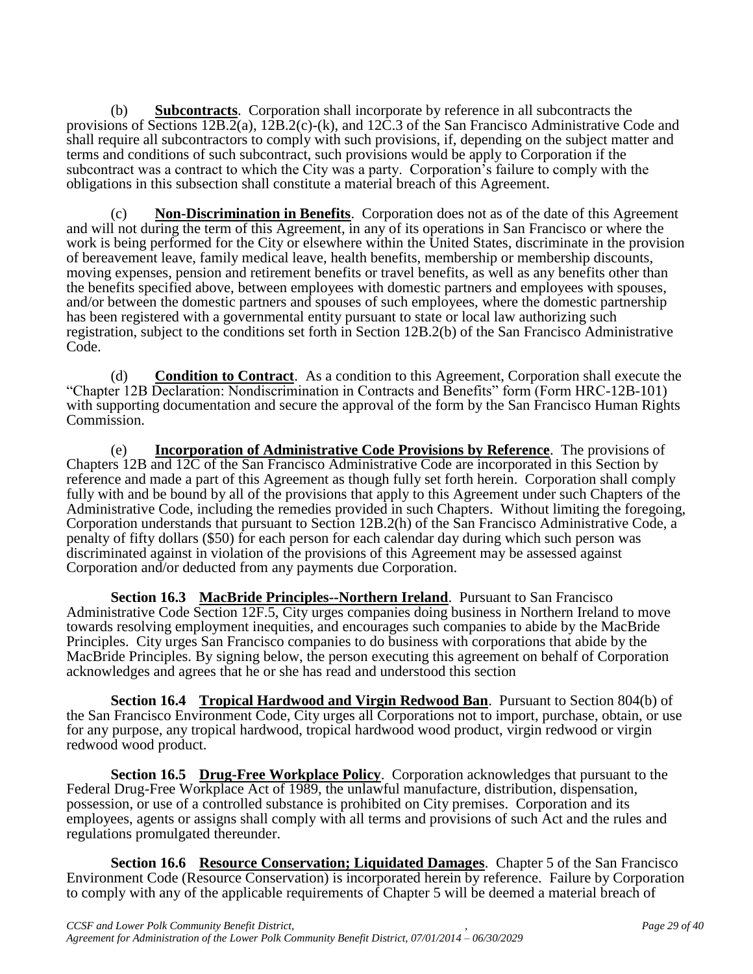(b) **Subcontracts**. Corporation shall incorporate by reference in all subcontracts the provisions of Sections  $12B.2(a)$ ,  $12B.2(c)$ -(k), and  $12C.3$  of the San Francisco Administrative Code and shall require all subcontractors to comply with such provisions, if, depending on the subject matter and terms and conditions of such subcontract, such provisions would be apply to Corporation if the subcontract was a contract to which the City was a party. Corporation's failure to comply with the obligations in this subsection shall constitute a material breach of this Agreement.

(c) **Non-Discrimination in Benefits**. Corporation does not as of the date of this Agreement and will not during the term of this Agreement, in any of its operations in San Francisco or where the work is being performed for the City or elsewhere within the United States, discriminate in the provision of bereavement leave, family medical leave, health benefits, membership or membership discounts, moving expenses, pension and retirement benefits or travel benefits, as well as any benefits other than the benefits specified above, between employees with domestic partners and employees with spouses, and/or between the domestic partners and spouses of such employees, where the domestic partnership has been registered with a governmental entity pursuant to state or local law authorizing such registration, subject to the conditions set forth in Section 12B.2(b) of the San Francisco Administrative Code.

(d) **Condition to Contract**. As a condition to this Agreement, Corporation shall execute the "Chapter 12B Declaration: Nondiscrimination in Contracts and Benefits" form (Form HRC-12B-101) with supporting documentation and secure the approval of the form by the San Francisco Human Rights Commission.

(e) **Incorporation of Administrative Code Provisions by Reference**. The provisions of Chapters 12B and 12C of the San Francisco Administrative Code are incorporated in this Section by reference and made a part of this Agreement as though fully set forth herein. Corporation shall comply fully with and be bound by all of the provisions that apply to this Agreement under such Chapters of the Administrative Code, including the remedies provided in such Chapters. Without limiting the foregoing, Corporation understands that pursuant to Section 12B.2(h) of the San Francisco Administrative Code, a penalty of fifty dollars (\$50) for each person for each calendar day during which such person was discriminated against in violation of the provisions of this Agreement may be assessed against Corporation and/or deducted from any payments due Corporation.

**Section 16.3 MacBride Principles--Northern Ireland**. Pursuant to San Francisco Administrative Code Section 12F.5, City urges companies doing business in Northern Ireland to move towards resolving employment inequities, and encourages such companies to abide by the MacBride Principles. City urges San Francisco companies to do business with corporations that abide by the MacBride Principles. By signing below, the person executing this agreement on behalf of Corporation acknowledges and agrees that he or she has read and understood this section

**Section 16.4 Tropical Hardwood and Virgin Redwood Ban**. Pursuant to Section 804(b) of the San Francisco Environment Code, City urges all Corporations not to import, purchase, obtain, or use for any purpose, any tropical hardwood, tropical hardwood wood product, virgin redwood or virgin redwood wood product.

**Section 16.5 Drug-Free Workplace Policy**. Corporation acknowledges that pursuant to the Federal Drug-Free Workplace Act of 1989, the unlawful manufacture, distribution, dispensation, possession, or use of a controlled substance is prohibited on City premises. Corporation and its employees, agents or assigns shall comply with all terms and provisions of such Act and the rules and regulations promulgated thereunder.

**Section 16.6 Resource Conservation; Liquidated Damages**. Chapter 5 of the San Francisco Environment Code (Resource Conservation) is incorporated herein by reference. Failure by Corporation to comply with any of the applicable requirements of Chapter 5 will be deemed a material breach of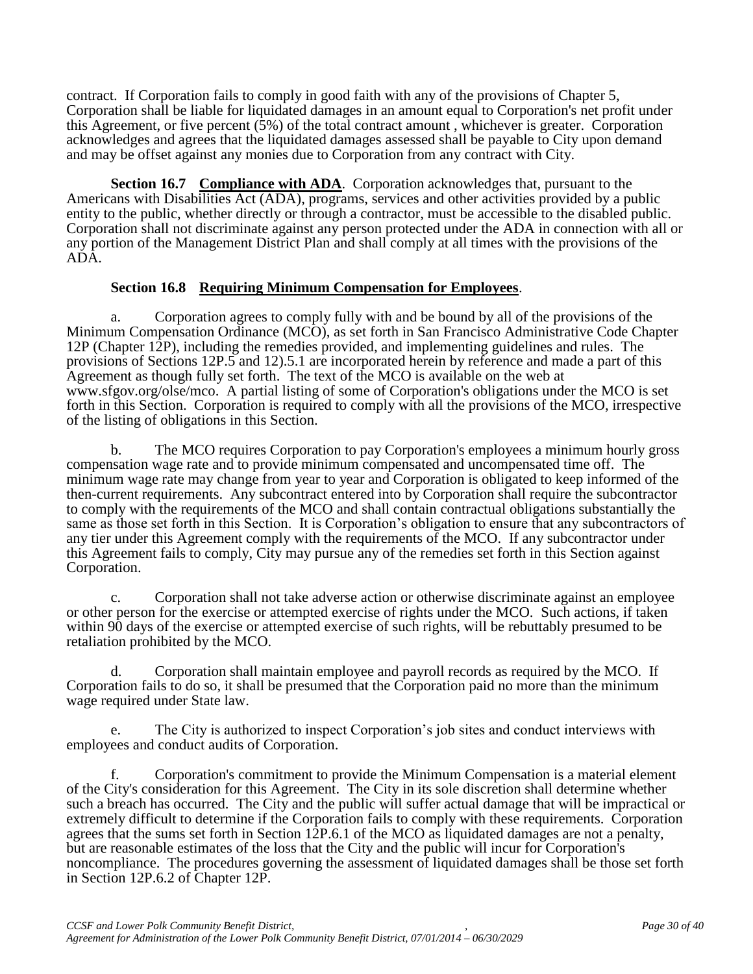contract. If Corporation fails to comply in good faith with any of the provisions of Chapter 5, Corporation shall be liable for liquidated damages in an amount equal to Corporation's net profit under this Agreement, or five percent (5%) of the total contract amount , whichever is greater. Corporation acknowledges and agrees that the liquidated damages assessed shall be payable to City upon demand and may be offset against any monies due to Corporation from any contract with City.

**Section 16.7 Compliance with ADA**. Corporation acknowledges that, pursuant to the Americans with Disabilities Act (ADA), programs, services and other activities provided by a public entity to the public, whether directly or through a contractor, must be accessible to the disabled public. Corporation shall not discriminate against any person protected under the ADA in connection with all or any portion of the Management District Plan and shall comply at all times with the provisions of the ADA.

# **Section 16.8 Requiring Minimum Compensation for Employees**.

a. Corporation agrees to comply fully with and be bound by all of the provisions of the Minimum Compensation Ordinance (MCO), as set forth in San Francisco Administrative Code Chapter 12P (Chapter 12P), including the remedies provided, and implementing guidelines and rules. The provisions of Sections 12P.5 and 12).5.1 are incorporated herein by reference and made a part of this Agreement as though fully set forth. The text of the MCO is available on the web at www.sfgov.org/olse/mco. A partial listing of some of Corporation's obligations under the MCO is set forth in this Section. Corporation is required to comply with all the provisions of the MCO, irrespective of the listing of obligations in this Section.

b. The MCO requires Corporation to pay Corporation's employees a minimum hourly gross compensation wage rate and to provide minimum compensated and uncompensated time off. The minimum wage rate may change from year to year and Corporation is obligated to keep informed of the then-current requirements. Any subcontract entered into by Corporation shall require the subcontractor to comply with the requirements of the MCO and shall contain contractual obligations substantially the same as those set forth in this Section. It is Corporation's obligation to ensure that any subcontractors of any tier under this Agreement comply with the requirements of the MCO. If any subcontractor under this Agreement fails to comply, City may pursue any of the remedies set forth in this Section against Corporation.

c. Corporation shall not take adverse action or otherwise discriminate against an employee or other person for the exercise or attempted exercise of rights under the MCO. Such actions, if taken within 90 days of the exercise or attempted exercise of such rights, will be rebuttably presumed to be retaliation prohibited by the MCO.

Corporation shall maintain employee and payroll records as required by the MCO. If Corporation fails to do so, it shall be presumed that the Corporation paid no more than the minimum wage required under State law.

e. The City is authorized to inspect Corporation's job sites and conduct interviews with employees and conduct audits of Corporation.

f. Corporation's commitment to provide the Minimum Compensation is a material element of the City's consideration for this Agreement. The City in its sole discretion shall determine whether such a breach has occurred. The City and the public will suffer actual damage that will be impractical or extremely difficult to determine if the Corporation fails to comply with these requirements. Corporation agrees that the sums set forth in Section 12P.6.1 of the MCO as liquidated damages are not a penalty, but are reasonable estimates of the loss that the City and the public will incur for Corporation's noncompliance. The procedures governing the assessment of liquidated damages shall be those set forth in Section 12P.6.2 of Chapter 12P.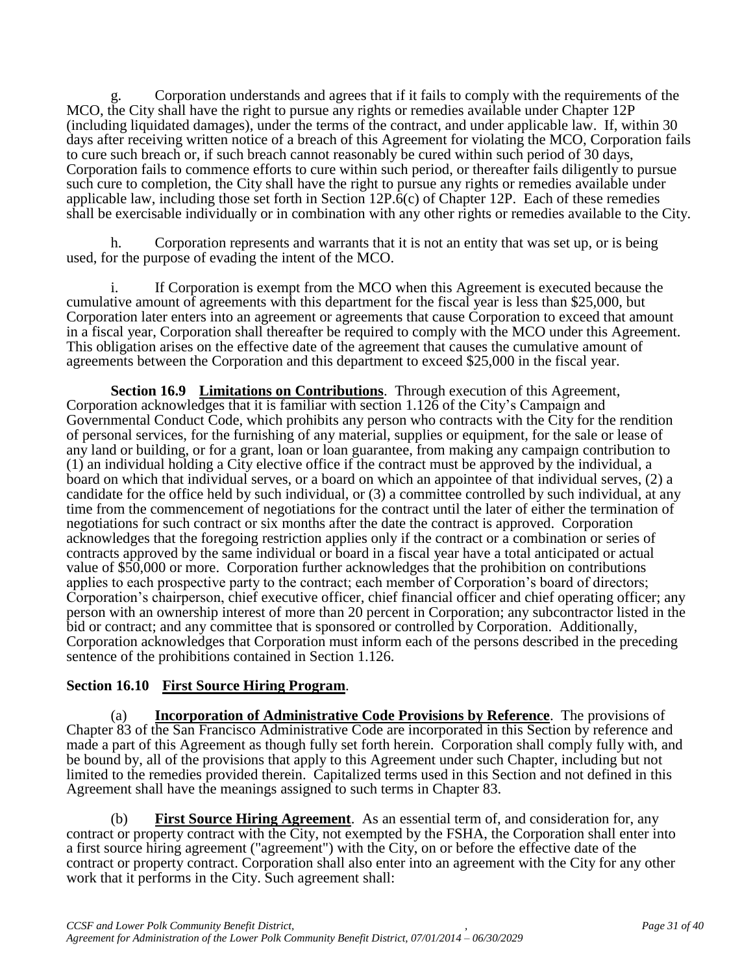g. Corporation understands and agrees that if it fails to comply with the requirements of the MCO, the City shall have the right to pursue any rights or remedies available under Chapter 12P (including liquidated damages), under the terms of the contract, and under applicable law. If, within 30 days after receiving written notice of a breach of this Agreement for violating the MCO, Corporation fails to cure such breach or, if such breach cannot reasonably be cured within such period of 30 days, Corporation fails to commence efforts to cure within such period, or thereafter fails diligently to pursue such cure to completion, the City shall have the right to pursue any rights or remedies available under applicable law, including those set forth in Section 12P.6(c) of Chapter 12P. Each of these remedies shall be exercisable individually or in combination with any other rights or remedies available to the City.

h. Corporation represents and warrants that it is not an entity that was set up, or is being used, for the purpose of evading the intent of the MCO.

i. If Corporation is exempt from the MCO when this Agreement is executed because the cumulative amount of agreements with this department for the fiscal year is less than \$25,000, but Corporation later enters into an agreement or agreements that cause Corporation to exceed that amount in a fiscal year, Corporation shall thereafter be required to comply with the MCO under this Agreement. This obligation arises on the effective date of the agreement that causes the cumulative amount of agreements between the Corporation and this department to exceed \$25,000 in the fiscal year.

**Section 16.9 Limitations on Contributions**. Through execution of this Agreement, Corporation acknowledges that it is familiar with section 1.126 of the City's Campaign and Governmental Conduct Code, which prohibits any person who contracts with the City for the rendition of personal services, for the furnishing of any material, supplies or equipment, for the sale or lease of any land or building, or for a grant, loan or loan guarantee, from making any campaign contribution to (1) an individual holding a City elective office if the contract must be approved by the individual, a board on which that individual serves, or a board on which an appointee of that individual serves, (2) a candidate for the office held by such individual, or (3) a committee controlled by such individual, at any time from the commencement of negotiations for the contract until the later of either the termination of negotiations for such contract or six months after the date the contract is approved. Corporation acknowledges that the foregoing restriction applies only if the contract or a combination or series of contracts approved by the same individual or board in a fiscal year have a total anticipated or actual value of \$50,000 or more. Corporation further acknowledges that the prohibition on contributions applies to each prospective party to the contract; each member of Corporation's board of directors; Corporation's chairperson, chief executive officer, chief financial officer and chief operating officer; any person with an ownership interest of more than 20 percent in Corporation; any subcontractor listed in the bid or contract; and any committee that is sponsored or controlled by Corporation. Additionally, Corporation acknowledges that Corporation must inform each of the persons described in the preceding sentence of the prohibitions contained in Section 1.126.

# **Section 16.10 First Source Hiring Program**.

(a) **Incorporation of Administrative Code Provisions by Reference**. The provisions of Chapter 83 of the San Francisco Administrative Code are incorporated in this Section by reference and made a part of this Agreement as though fully set forth herein. Corporation shall comply fully with, and be bound by, all of the provisions that apply to this Agreement under such Chapter, including but not limited to the remedies provided therein. Capitalized terms used in this Section and not defined in this Agreement shall have the meanings assigned to such terms in Chapter 83.

(b) **First Source Hiring Agreement**. As an essential term of, and consideration for, any contract or property contract with the City, not exempted by the FSHA, the Corporation shall enter into a first source hiring agreement ("agreement") with the City, on or before the effective date of the contract or property contract. Corporation shall also enter into an agreement with the City for any other work that it performs in the City. Such agreement shall: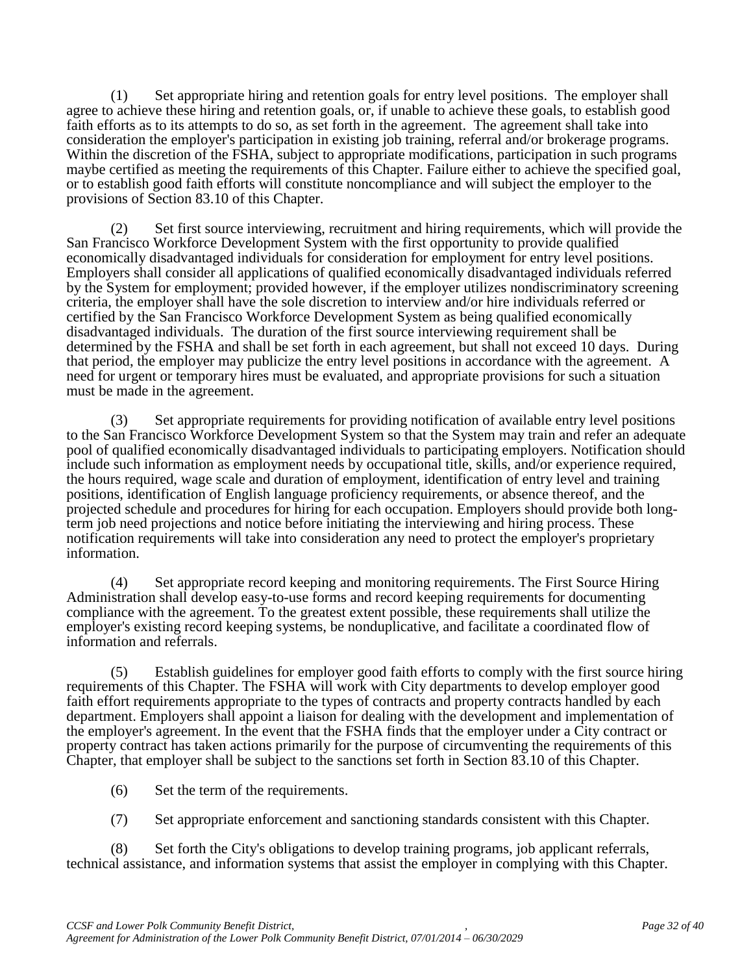(1) Set appropriate hiring and retention goals for entry level positions. The employer shall agree to achieve these hiring and retention goals, or, if unable to achieve these goals, to establish good faith efforts as to its attempts to do so, as set forth in the agreement. The agreement shall take into consideration the employer's participation in existing job training, referral and/or brokerage programs. Within the discretion of the FSHA, subject to appropriate modifications, participation in such programs maybe certified as meeting the requirements of this Chapter. Failure either to achieve the specified goal, or to establish good faith efforts will constitute noncompliance and will subject the employer to the provisions of Section 83.10 of this Chapter.

(2) Set first source interviewing, recruitment and hiring requirements, which will provide the San Francisco Workforce Development System with the first opportunity to provide qualified economically disadvantaged individuals for consideration for employment for entry level positions. Employers shall consider all applications of qualified economically disadvantaged individuals referred by the System for employment; provided however, if the employer utilizes nondiscriminatory screening criteria, the employer shall have the sole discretion to interview and/or hire individuals referred or certified by the San Francisco Workforce Development System as being qualified economically disadvantaged individuals. The duration of the first source interviewing requirement shall be determined by the FSHA and shall be set forth in each agreement, but shall not exceed 10 days. During that period, the employer may publicize the entry level positions in accordance with the agreement. A need for urgent or temporary hires must be evaluated, and appropriate provisions for such a situation must be made in the agreement.

(3) Set appropriate requirements for providing notification of available entry level positions to the San Francisco Workforce Development System so that the System may train and refer an adequate pool of qualified economically disadvantaged individuals to participating employers. Notification should include such information as employment needs by occupational title, skills, and/or experience required, the hours required, wage scale and duration of employment, identification of entry level and training positions, identification of English language proficiency requirements, or absence thereof, and the projected schedule and procedures for hiring for each occupation. Employers should provide both longterm job need projections and notice before initiating the interviewing and hiring process. These notification requirements will take into consideration any need to protect the employer's proprietary information.

(4) Set appropriate record keeping and monitoring requirements. The First Source Hiring Administration shall develop easy-to-use forms and record keeping requirements for documenting compliance with the agreement. To the greatest extent possible, these requirements shall utilize the employer's existing record keeping systems, be nonduplicative, and facilitate a coordinated flow of information and referrals.

(5) Establish guidelines for employer good faith efforts to comply with the first source hiring requirements of this Chapter. The FSHA will work with City departments to develop employer good faith effort requirements appropriate to the types of contracts and property contracts handled by each department. Employers shall appoint a liaison for dealing with the development and implementation of the employer's agreement. In the event that the FSHA finds that the employer under a City contract or property contract has taken actions primarily for the purpose of circumventing the requirements of this Chapter, that employer shall be subject to the sanctions set forth in Section 83.10 of this Chapter.

- (6) Set the term of the requirements.
- (7) Set appropriate enforcement and sanctioning standards consistent with this Chapter.

(8) Set forth the City's obligations to develop training programs, job applicant referrals, technical assistance, and information systems that assist the employer in complying with this Chapter.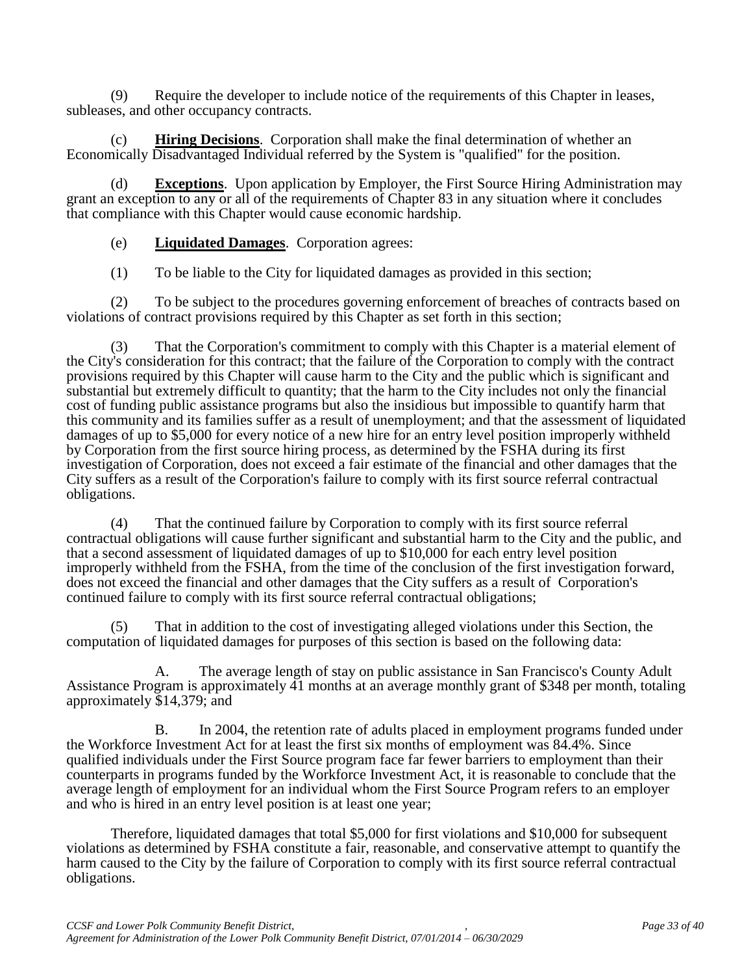(9) Require the developer to include notice of the requirements of this Chapter in leases, subleases, and other occupancy contracts.

(c) **Hiring Decisions**. Corporation shall make the final determination of whether an Economically Disadvantaged Individual referred by the System is "qualified" for the position.

(d) **Exceptions**. Upon application by Employer, the First Source Hiring Administration may grant an exception to any or all of the requirements of Chapter 83 in any situation where it concludes that compliance with this Chapter would cause economic hardship.

(e) **Liquidated Damages**. Corporation agrees:

(1) To be liable to the City for liquidated damages as provided in this section;

(2) To be subject to the procedures governing enforcement of breaches of contracts based on violations of contract provisions required by this Chapter as set forth in this section;

(3) That the Corporation's commitment to comply with this Chapter is a material element of the City's consideration for this contract; that the failure of the Corporation to comply with the contract provisions required by this Chapter will cause harm to the City and the public which is significant and substantial but extremely difficult to quantity; that the harm to the City includes not only the financial cost of funding public assistance programs but also the insidious but impossible to quantify harm that this community and its families suffer as a result of unemployment; and that the assessment of liquidated damages of up to \$5,000 for every notice of a new hire for an entry level position improperly withheld by Corporation from the first source hiring process, as determined by the FSHA during its first investigation of Corporation, does not exceed a fair estimate of the financial and other damages that the City suffers as a result of the Corporation's failure to comply with its first source referral contractual obligations.

(4) That the continued failure by Corporation to comply with its first source referral contractual obligations will cause further significant and substantial harm to the City and the public, and that a second assessment of liquidated damages of up to \$10,000 for each entry level position improperly withheld from the FSHA, from the time of the conclusion of the first investigation forward, does not exceed the financial and other damages that the City suffers as a result of Corporation's continued failure to comply with its first source referral contractual obligations;

(5) That in addition to the cost of investigating alleged violations under this Section, the computation of liquidated damages for purposes of this section is based on the following data:

A. The average length of stay on public assistance in San Francisco's County Adult Assistance Program is approximately 41 months at an average monthly grant of \$348 per month, totaling approximately \$14,379; and

B. In 2004, the retention rate of adults placed in employment programs funded under the Workforce Investment Act for at least the first six months of employment was 84.4%. Since qualified individuals under the First Source program face far fewer barriers to employment than their counterparts in programs funded by the Workforce Investment Act, it is reasonable to conclude that the average length of employment for an individual whom the First Source Program refers to an employer and who is hired in an entry level position is at least one year;

Therefore, liquidated damages that total \$5,000 for first violations and \$10,000 for subsequent violations as determined by FSHA constitute a fair, reasonable, and conservative attempt to quantify the harm caused to the City by the failure of Corporation to comply with its first source referral contractual obligations.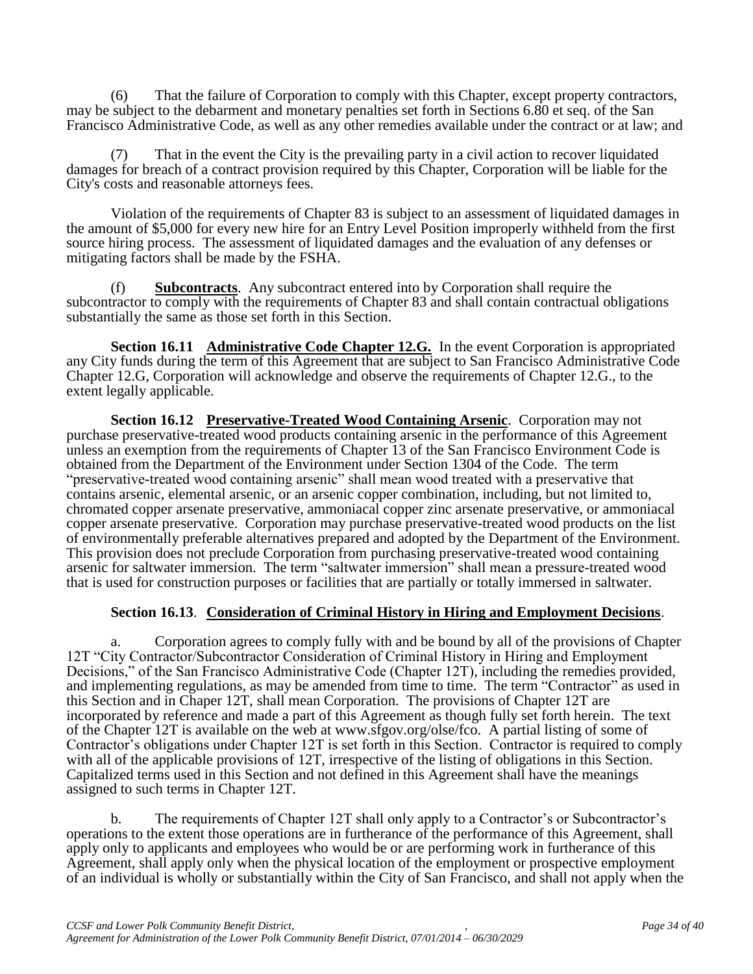(6) That the failure of Corporation to comply with this Chapter, except property contractors, may be subject to the debarment and monetary penalties set forth in Sections 6.80 et seq. of the San Francisco Administrative Code, as well as any other remedies available under the contract or at law; and

That in the event the City is the prevailing party in a civil action to recover liquidated damages for breach of a contract provision required by this Chapter, Corporation will be liable for the City's costs and reasonable attorneys fees.

Violation of the requirements of Chapter 83 is subject to an assessment of liquidated damages in the amount of \$5,000 for every new hire for an Entry Level Position improperly withheld from the first source hiring process. The assessment of liquidated damages and the evaluation of any defenses or mitigating factors shall be made by the FSHA.

(f) **Subcontracts**. Any subcontract entered into by Corporation shall require the subcontractor to comply with the requirements of Chapter 83 and shall contain contractual obligations substantially the same as those set forth in this Section.

**Section 16.11 Administrative Code Chapter 12.G.** In the event Corporation is appropriated any City funds during the term of this Agreement that are subject to San Francisco Administrative Code Chapter 12.G, Corporation will acknowledge and observe the requirements of Chapter 12.G., to the extent legally applicable.

**Section 16.12 Preservative-Treated Wood Containing Arsenic**. Corporation may not purchase preservative-treated wood products containing arsenic in the performance of this Agreement unless an exemption from the requirements of Chapter 13 of the San Francisco Environment Code is obtained from the Department of the Environment under Section 1304 of the Code. The term "preservative-treated wood containing arsenic" shall mean wood treated with a preservative that contains arsenic, elemental arsenic, or an arsenic copper combination, including, but not limited to, chromated copper arsenate preservative, ammoniacal copper zinc arsenate preservative, or ammoniacal copper arsenate preservative. Corporation may purchase preservative-treated wood products on the list of environmentally preferable alternatives prepared and adopted by the Department of the Environment. This provision does not preclude Corporation from purchasing preservative-treated wood containing arsenic for saltwater immersion. The term "saltwater immersion" shall mean a pressure-treated wood that is used for construction purposes or facilities that are partially or totally immersed in saltwater.

#### **Section 16.13**. **Consideration of Criminal History in Hiring and Employment Decisions**.

a. Corporation agrees to comply fully with and be bound by all of the provisions of Chapter 12T "City Contractor/Subcontractor Consideration of Criminal History in Hiring and Employment Decisions," of the San Francisco Administrative Code (Chapter 12T), including the remedies provided, and implementing regulations, as may be amended from time to time. The term "Contractor" as used in this Section and in Chaper 12T, shall mean Corporation. The provisions of Chapter 12T are incorporated by reference and made a part of this Agreement as though fully set forth herein. The text of the Chapter 12T is available on the web at www.sfgov.org/olse/fco. A partial listing of some of Contractor's obligations under Chapter 12T is set forth in this Section. Contractor is required to comply with all of the applicable provisions of 12T, irrespective of the listing of obligations in this Section. Capitalized terms used in this Section and not defined in this Agreement shall have the meanings assigned to such terms in Chapter 12T.

b. The requirements of Chapter 12T shall only apply to a Contractor's or Subcontractor's operations to the extent those operations are in furtherance of the performance of this Agreement, shall apply only to applicants and employees who would be or are performing work in furtherance of this Agreement, shall apply only when the physical location of the employment or prospective employment of an individual is wholly or substantially within the City of San Francisco, and shall not apply when the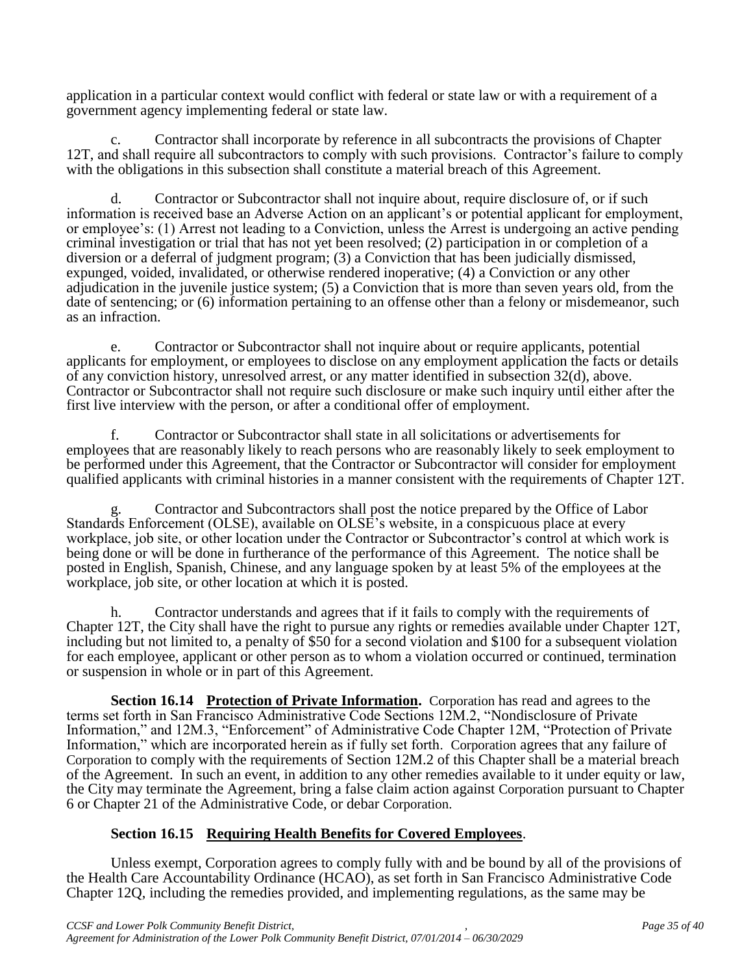application in a particular context would conflict with federal or state law or with a requirement of a government agency implementing federal or state law.

c. Contractor shall incorporate by reference in all subcontracts the provisions of Chapter 12T, and shall require all subcontractors to comply with such provisions. Contractor's failure to comply with the obligations in this subsection shall constitute a material breach of this Agreement.

d. Contractor or Subcontractor shall not inquire about, require disclosure of, or if such information is received base an Adverse Action on an applicant's or potential applicant for employment, or employee's: (1) Arrest not leading to a Conviction, unless the Arrest is undergoing an active pending criminal investigation or trial that has not yet been resolved; (2) participation in or completion of a diversion or a deferral of judgment program; (3) a Conviction that has been judicially dismissed, expunged, voided, invalidated, or otherwise rendered inoperative; (4) a Conviction or any other adjudication in the juvenile justice system; (5) a Conviction that is more than seven years old, from the date of sentencing; or (6) information pertaining to an offense other than a felony or misdemeanor, such as an infraction.

e. Contractor or Subcontractor shall not inquire about or require applicants, potential applicants for employment, or employees to disclose on any employment application the facts or details of any conviction history, unresolved arrest, or any matter identified in subsection 32(d), above. Contractor or Subcontractor shall not require such disclosure or make such inquiry until either after the first live interview with the person, or after a conditional offer of employment.

f. Contractor or Subcontractor shall state in all solicitations or advertisements for employees that are reasonably likely to reach persons who are reasonably likely to seek employment to be performed under this Agreement, that the Contractor or Subcontractor will consider for employment qualified applicants with criminal histories in a manner consistent with the requirements of Chapter 12T.

g. Contractor and Subcontractors shall post the notice prepared by the Office of Labor Standards Enforcement (OLSE), available on OLSE's website, in a conspicuous place at every workplace, job site, or other location under the Contractor or Subcontractor's control at which work is being done or will be done in furtherance of the performance of this Agreement. The notice shall be posted in English, Spanish, Chinese, and any language spoken by at least 5% of the employees at the workplace, job site, or other location at which it is posted.

h. Contractor understands and agrees that if it fails to comply with the requirements of Chapter 12T, the City shall have the right to pursue any rights or remedies available under Chapter 12T, including but not limited to, a penalty of \$50 for a second violation and \$100 for a subsequent violation for each employee, applicant or other person as to whom a violation occurred or continued, termination or suspension in whole or in part of this Agreement.

**Section 16.14 Protection of Private Information.** Corporation has read and agrees to the terms set forth in San Francisco Administrative Code Sections 12M.2, "Nondisclosure of Private Information," and 12M.3, "Enforcement" of Administrative Code Chapter 12M, "Protection of Private Information," which are incorporated herein as if fully set forth. Corporation agrees that any failure of Corporation to comply with the requirements of Section 12M.2 of this Chapter shall be a material breach of the Agreement. In such an event, in addition to any other remedies available to it under equity or law, the City may terminate the Agreement, bring a false claim action against Corporation pursuant to Chapter 6 or Chapter 21 of the Administrative Code, or debar Corporation.

# **Section 16.15 Requiring Health Benefits for Covered Employees**.

Unless exempt, Corporation agrees to comply fully with and be bound by all of the provisions of the Health Care Accountability Ordinance (HCAO), as set forth in San Francisco Administrative Code Chapter 12Q, including the remedies provided, and implementing regulations, as the same may be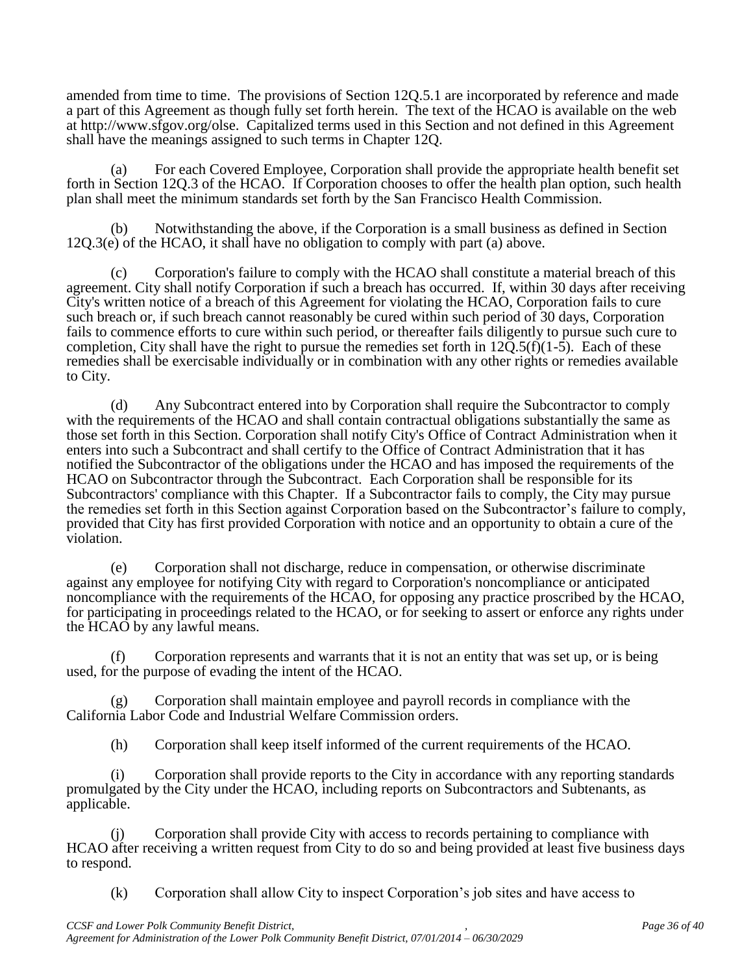amended from time to time. The provisions of Section 12Q.5.1 are incorporated by reference and made a part of this Agreement as though fully set forth herein. The text of the HCAO is available on the web at http://www.sfgov.org/olse. Capitalized terms used in this Section and not defined in this Agreement shall have the meanings assigned to such terms in Chapter 12Q.

(a) For each Covered Employee, Corporation shall provide the appropriate health benefit set forth in Section 12Q.3 of the HCAO. If Corporation chooses to offer the health plan option, such health plan shall meet the minimum standards set forth by the San Francisco Health Commission.

(b) Notwithstanding the above, if the Corporation is a small business as defined in Section 12Q.3(e) of the HCAO, it shall have no obligation to comply with part (a) above.

(c) Corporation's failure to comply with the HCAO shall constitute a material breach of this agreement. City shall notify Corporation if such a breach has occurred. If, within 30 days after receiving City's written notice of a breach of this Agreement for violating the HCAO, Corporation fails to cure such breach or, if such breach cannot reasonably be cured within such period of 30 days, Corporation fails to commence efforts to cure within such period, or thereafter fails diligently to pursue such cure to completion, City shall have the right to pursue the remedies set forth in  $12\overline{O}$ .5(f)(1-5). Each of these remedies shall be exercisable individually or in combination with any other rights or remedies available to City.

(d) Any Subcontract entered into by Corporation shall require the Subcontractor to comply with the requirements of the HCAO and shall contain contractual obligations substantially the same as those set forth in this Section. Corporation shall notify City's Office of Contract Administration when it enters into such a Subcontract and shall certify to the Office of Contract Administration that it has notified the Subcontractor of the obligations under the HCAO and has imposed the requirements of the HCAO on Subcontractor through the Subcontract. Each Corporation shall be responsible for its Subcontractors' compliance with this Chapter. If a Subcontractor fails to comply, the City may pursue the remedies set forth in this Section against Corporation based on the Subcontractor's failure to comply, provided that City has first provided Corporation with notice and an opportunity to obtain a cure of the violation.

(e) Corporation shall not discharge, reduce in compensation, or otherwise discriminate against any employee for notifying City with regard to Corporation's noncompliance or anticipated noncompliance with the requirements of the HCAO, for opposing any practice proscribed by the HCAO, for participating in proceedings related to the HCAO, or for seeking to assert or enforce any rights under the HCAO by any lawful means.

(f) Corporation represents and warrants that it is not an entity that was set up, or is being used, for the purpose of evading the intent of the HCAO.

(g) Corporation shall maintain employee and payroll records in compliance with the California Labor Code and Industrial Welfare Commission orders.

(h) Corporation shall keep itself informed of the current requirements of the HCAO.

(i) Corporation shall provide reports to the City in accordance with any reporting standards promulgated by the City under the HCAO, including reports on Subcontractors and Subtenants, as applicable.

(j) Corporation shall provide City with access to records pertaining to compliance with HCAO after receiving a written request from City to do so and being provided at least five business days to respond.

(k) Corporation shall allow City to inspect Corporation's job sites and have access to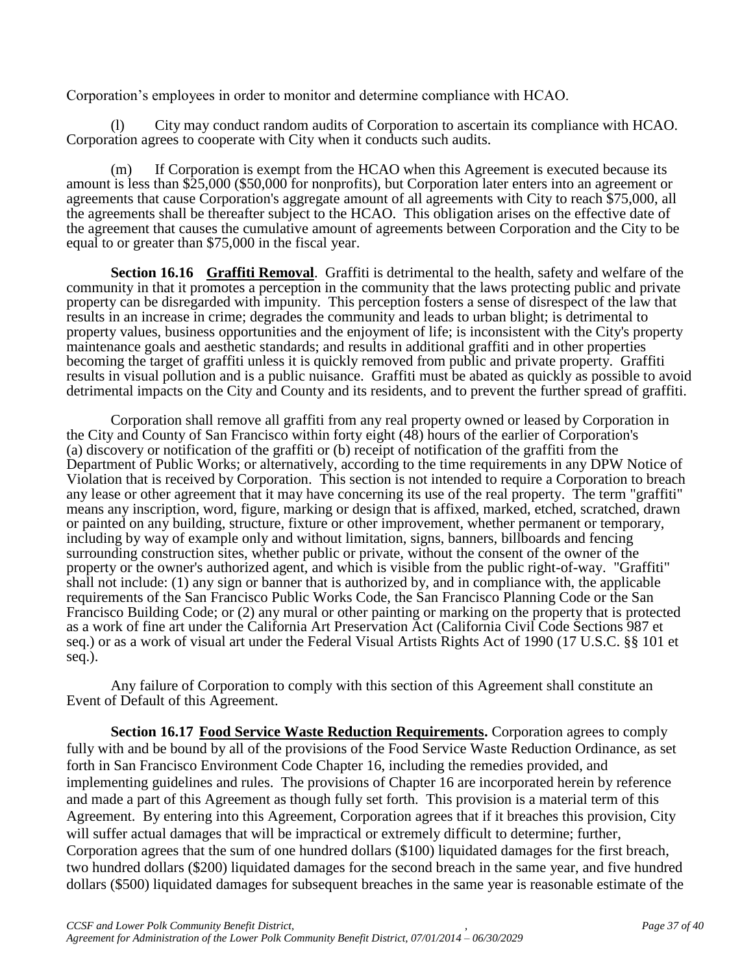Corporation's employees in order to monitor and determine compliance with HCAO.

(l) City may conduct random audits of Corporation to ascertain its compliance with HCAO. Corporation agrees to cooperate with City when it conducts such audits.

(m) If Corporation is exempt from the HCAO when this Agreement is executed because its amount is less than \$25,000 (\$50,000 for nonprofits), but Corporation later enters into an agreement or agreements that cause Corporation's aggregate amount of all agreements with City to reach \$75,000, all the agreements shall be thereafter subject to the HCAO. This obligation arises on the effective date of the agreement that causes the cumulative amount of agreements between Corporation and the City to be equal to or greater than \$75,000 in the fiscal year.

**Section 16.16 Graffiti Removal**. Graffiti is detrimental to the health, safety and welfare of the community in that it promotes a perception in the community that the laws protecting public and private property can be disregarded with impunity. This perception fosters a sense of disrespect of the law that results in an increase in crime; degrades the community and leads to urban blight; is detrimental to property values, business opportunities and the enjoyment of life; is inconsistent with the City's property maintenance goals and aesthetic standards; and results in additional graffiti and in other properties becoming the target of graffiti unless it is quickly removed from public and private property. Graffiti results in visual pollution and is a public nuisance. Graffiti must be abated as quickly as possible to avoid detrimental impacts on the City and County and its residents, and to prevent the further spread of graffiti.

Corporation shall remove all graffiti from any real property owned or leased by Corporation in the City and County of San Francisco within forty eight (48) hours of the earlier of Corporation's (a) discovery or notification of the graffiti or (b) receipt of notification of the graffiti from the Department of Public Works; or alternatively, according to the time requirements in any DPW Notice of Violation that is received by Corporation. This section is not intended to require a Corporation to breach any lease or other agreement that it may have concerning its use of the real property. The term "graffiti" means any inscription, word, figure, marking or design that is affixed, marked, etched, scratched, drawn or painted on any building, structure, fixture or other improvement, whether permanent or temporary, including by way of example only and without limitation, signs, banners, billboards and fencing surrounding construction sites, whether public or private, without the consent of the owner of the property or the owner's authorized agent, and which is visible from the public right-of-way. "Graffiti" shall not include: (1) any sign or banner that is authorized by, and in compliance with, the applicable requirements of the San Francisco Public Works Code, the San Francisco Planning Code or the San Francisco Building Code; or (2) any mural or other painting or marking on the property that is protected as a work of fine art under the California Art Preservation Act (California Civil Code Sections 987 et seq.) or as a work of visual art under the Federal Visual Artists Rights Act of 1990 (17 U.S.C. §§ 101 et seq.).

Any failure of Corporation to comply with this section of this Agreement shall constitute an Event of Default of this Agreement.

**Section 16.17 Food Service Waste Reduction Requirements.** Corporation agrees to comply fully with and be bound by all of the provisions of the Food Service Waste Reduction Ordinance, as set forth in San Francisco Environment Code Chapter 16, including the remedies provided, and implementing guidelines and rules. The provisions of Chapter 16 are incorporated herein by reference and made a part of this Agreement as though fully set forth. This provision is a material term of this Agreement. By entering into this Agreement, Corporation agrees that if it breaches this provision, City will suffer actual damages that will be impractical or extremely difficult to determine; further, Corporation agrees that the sum of one hundred dollars (\$100) liquidated damages for the first breach, two hundred dollars (\$200) liquidated damages for the second breach in the same year, and five hundred dollars (\$500) liquidated damages for subsequent breaches in the same year is reasonable estimate of the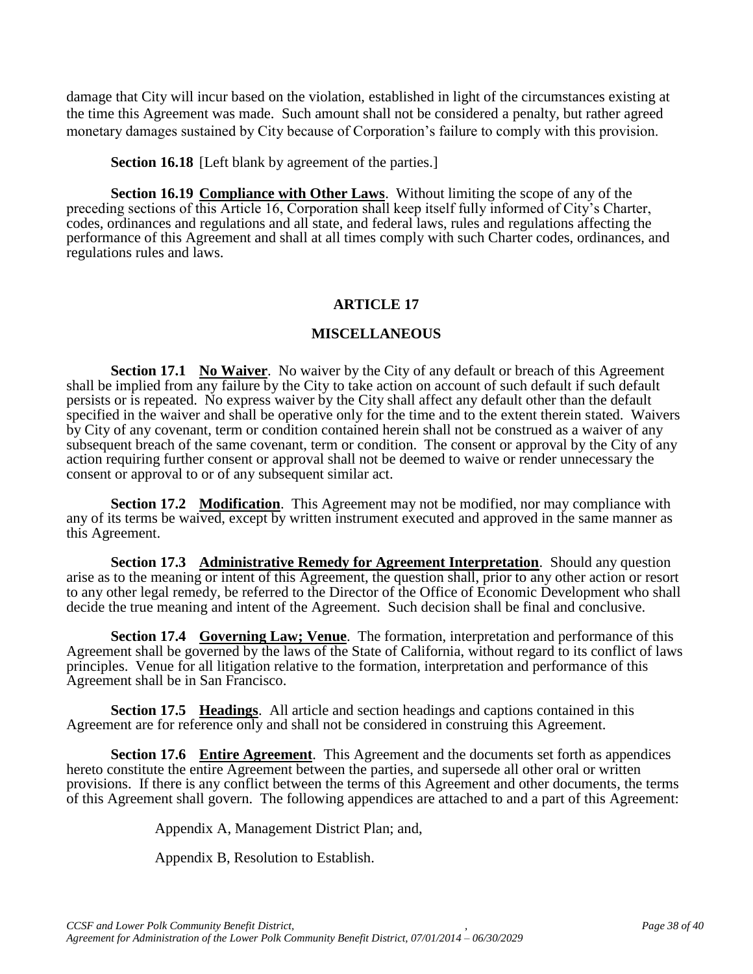damage that City will incur based on the violation, established in light of the circumstances existing at the time this Agreement was made. Such amount shall not be considered a penalty, but rather agreed monetary damages sustained by City because of Corporation's failure to comply with this provision.

**Section 16.18** [Left blank by agreement of the parties.]

**Section 16.19 Compliance with Other Laws**. Without limiting the scope of any of the preceding sections of this Article 16, Corporation shall keep itself fully informed of City's Charter, codes, ordinances and regulations and all state, and federal laws, rules and regulations affecting the performance of this Agreement and shall at all times comply with such Charter codes, ordinances, and regulations rules and laws.

#### **ARTICLE 17**

#### **MISCELLANEOUS**

**Section 17.1 No Waiver**. No waiver by the City of any default or breach of this Agreement shall be implied from any failure by the City to take action on account of such default if such default persists or is repeated. No express waiver by the City shall affect any default other than the default specified in the waiver and shall be operative only for the time and to the extent therein stated. Waivers by City of any covenant, term or condition contained herein shall not be construed as a waiver of any subsequent breach of the same covenant, term or condition. The consent or approval by the City of any action requiring further consent or approval shall not be deemed to waive or render unnecessary the consent or approval to or of any subsequent similar act.

**Section 17.2 Modification**. This Agreement may not be modified, nor may compliance with any of its terms be waived, except by written instrument executed and approved in the same manner as this Agreement.

**Section 17.3 Administrative Remedy for Agreement Interpretation**. Should any question arise as to the meaning or intent of this Agreement, the question shall, prior to any other action or resort to any other legal remedy, be referred to the Director of the Office of Economic Development who shall decide the true meaning and intent of the Agreement. Such decision shall be final and conclusive.

**Section 17.4 Governing Law; Venue**. The formation, interpretation and performance of this Agreement shall be governed by the laws of the State of California, without regard to its conflict of laws principles. Venue for all litigation relative to the formation, interpretation and performance of this Agreement shall be in San Francisco.

**Section 17.5 Headings**. All article and section headings and captions contained in this Agreement are for reference only and shall not be considered in construing this Agreement.

**Section 17.6 Entire Agreement**. This Agreement and the documents set forth as appendices hereto constitute the entire Agreement between the parties, and supersede all other oral or written provisions. If there is any conflict between the terms of this Agreement and other documents, the terms of this Agreement shall govern. The following appendices are attached to and a part of this Agreement:

Appendix A, Management District Plan; and,

Appendix B, Resolution to Establish.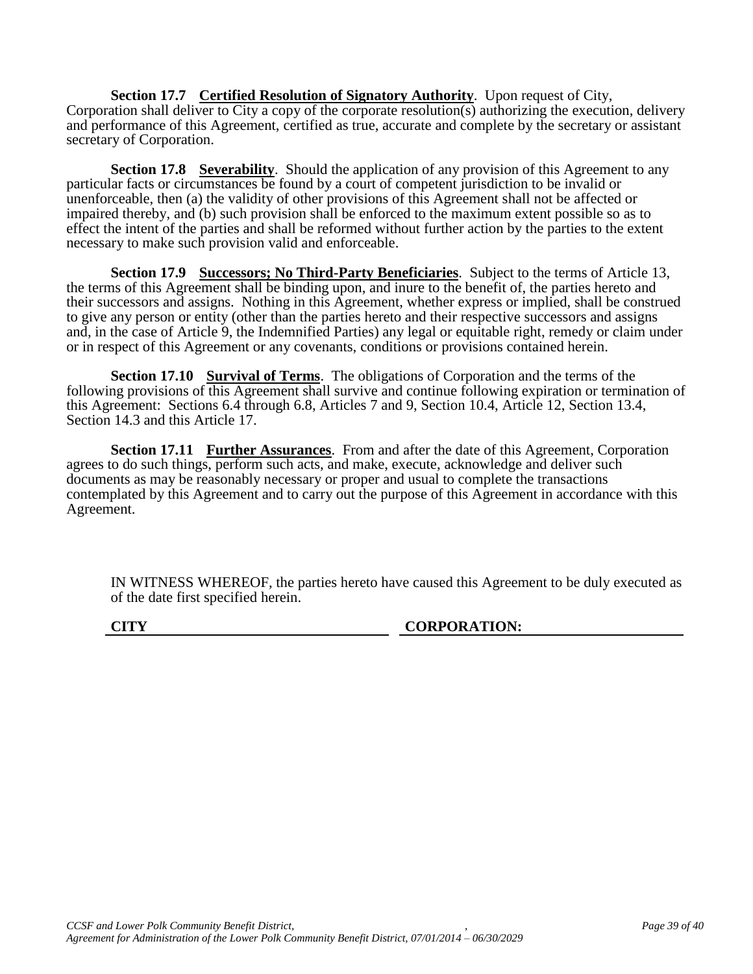**Section 17.7 Certified Resolution of Signatory Authority**. Upon request of City, Corporation shall deliver to City a copy of the corporate resolution(s) authorizing the execution, delivery and performance of this Agreement, certified as true, accurate and complete by the secretary or assistant secretary of Corporation.

**Section 17.8 Severability**. Should the application of any provision of this Agreement to any particular facts or circumstances be found by a court of competent jurisdiction to be invalid or unenforceable, then (a) the validity of other provisions of this Agreement shall not be affected or impaired thereby, and (b) such provision shall be enforced to the maximum extent possible so as to effect the intent of the parties and shall be reformed without further action by the parties to the extent necessary to make such provision valid and enforceable.

**Section 17.9 Successors; No Third-Party Beneficiaries**. Subject to the terms of Article 13, the terms of this Agreement shall be binding upon, and inure to the benefit of, the parties hereto and their successors and assigns. Nothing in this Agreement, whether express or implied, shall be construed to give any person or entity (other than the parties hereto and their respective successors and assigns and, in the case of Article 9, the Indemnified Parties) any legal or equitable right, remedy or claim under or in respect of this Agreement or any covenants, conditions or provisions contained herein.

**Section 17.10** Survival of Terms. The obligations of Corporation and the terms of the following provisions of this Agreement shall survive and continue following expiration or termination of this Agreement: Sections 6.4 through 6.8, Articles 7 and 9, Section 10.4, Article 12, Section 13.4, Section 14.3 and this Article 17.

**Section 17.11 Further Assurances**. From and after the date of this Agreement, Corporation agrees to do such things, perform such acts, and make, execute, acknowledge and deliver such documents as may be reasonably necessary or proper and usual to complete the transactions contemplated by this Agreement and to carry out the purpose of this Agreement in accordance with this Agreement.

IN WITNESS WHEREOF, the parties hereto have caused this Agreement to be duly executed as of the date first specified herein.

**CITY CORPORATION:**